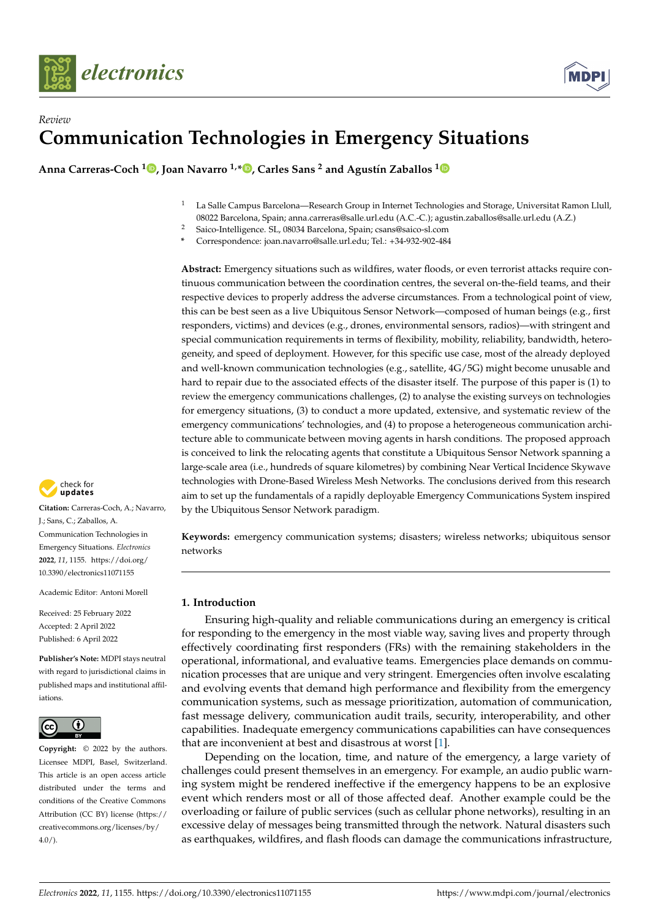

# *Review* **Communication Technologies in Emergency Situations**

**Anna Carreras-Coch <sup>1</sup> [,](https://orcid.org/0000-0002-7257-3081) Joan Navarro 1,\* [,](https://orcid.org/0000-0003-3916-9279) Carles Sans <sup>2</sup> and Agustín Zaballos [1](https://orcid.org/0000-0003-2755-4428)**

- <sup>1</sup> La Salle Campus Barcelona—Research Group in Internet Technologies and Storage, Universitat Ramon Llull, 08022 Barcelona, Spain; anna.carreras@salle.url.edu (A.C.-C.); agustin.zaballos@salle.url.edu (A.Z.)
- <sup>2</sup> Saico-Intelligence. SL, 08034 Barcelona, Spain; csans@saico-sl.com
- **\*** Correspondence: joan.navarro@salle.url.edu; Tel.: +34-932-902-484

**Abstract:** Emergency situations such as wildfires, water floods, or even terrorist attacks require continuous communication between the coordination centres, the several on-the-field teams, and their respective devices to properly address the adverse circumstances. From a technological point of view, this can be best seen as a live Ubiquitous Sensor Network—composed of human beings (e.g., first responders, victims) and devices (e.g., drones, environmental sensors, radios)—with stringent and special communication requirements in terms of flexibility, mobility, reliability, bandwidth, heterogeneity, and speed of deployment. However, for this specific use case, most of the already deployed and well-known communication technologies (e.g., satellite, 4G/5G) might become unusable and hard to repair due to the associated effects of the disaster itself. The purpose of this paper is (1) to review the emergency communications challenges, (2) to analyse the existing surveys on technologies for emergency situations, (3) to conduct a more updated, extensive, and systematic review of the emergency communications' technologies, and (4) to propose a heterogeneous communication architecture able to communicate between moving agents in harsh conditions. The proposed approach is conceived to link the relocating agents that constitute a Ubiquitous Sensor Network spanning a large-scale area (i.e., hundreds of square kilometres) by combining Near Vertical Incidence Skywave technologies with Drone-Based Wireless Mesh Networks. The conclusions derived from this research aim to set up the fundamentals of a rapidly deployable Emergency Communications System inspired by the Ubiquitous Sensor Network paradigm.

**Keywords:** emergency communication systems; disasters; wireless networks; ubiquitous sensor networks

# **1. Introduction**

Ensuring high-quality and reliable communications during an emergency is critical for responding to the emergency in the most viable way, saving lives and property through effectively coordinating first responders (FRs) with the remaining stakeholders in the operational, informational, and evaluative teams. Emergencies place demands on communication processes that are unique and very stringent. Emergencies often involve escalating and evolving events that demand high performance and flexibility from the emergency communication systems, such as message prioritization, automation of communication, fast message delivery, communication audit trails, security, interoperability, and other capabilities. Inadequate emergency communications capabilities can have consequences that are inconvenient at best and disastrous at worst [\[1\]](#page-28-0).

Depending on the location, time, and nature of the emergency, a large variety of challenges could present themselves in an emergency. For example, an audio public warning system might be rendered ineffective if the emergency happens to be an explosive event which renders most or all of those affected deaf. Another example could be the overloading or failure of public services (such as cellular phone networks), resulting in an excessive delay of messages being transmitted through the network. Natural disasters such as earthquakes, wildfires, and flash floods can damage the communications infrastructure,



**Citation:** Carreras-Coch, A.; Navarro, J.; Sans, C.; Zaballos, A. Communication Technologies in Emergency Situations. *Electronics* **2022**, *11*, 1155. [https://doi.org/](https://doi.org/10.3390/electronics11071155) [10.3390/electronics11071155](https://doi.org/10.3390/electronics11071155)

Academic Editor: Antoni Morell

Received: 25 February 2022 Accepted: 2 April 2022 Published: 6 April 2022

**Publisher's Note:** MDPI stays neutral with regard to jurisdictional claims in published maps and institutional affiliations.



**Copyright:** © 2022 by the authors. Licensee MDPI, Basel, Switzerland. This article is an open access article distributed under the terms and conditions of the Creative Commons Attribution (CC BY) license [\(https://](https://creativecommons.org/licenses/by/4.0/) [creativecommons.org/licenses/by/](https://creativecommons.org/licenses/by/4.0/)  $4.0/$ ).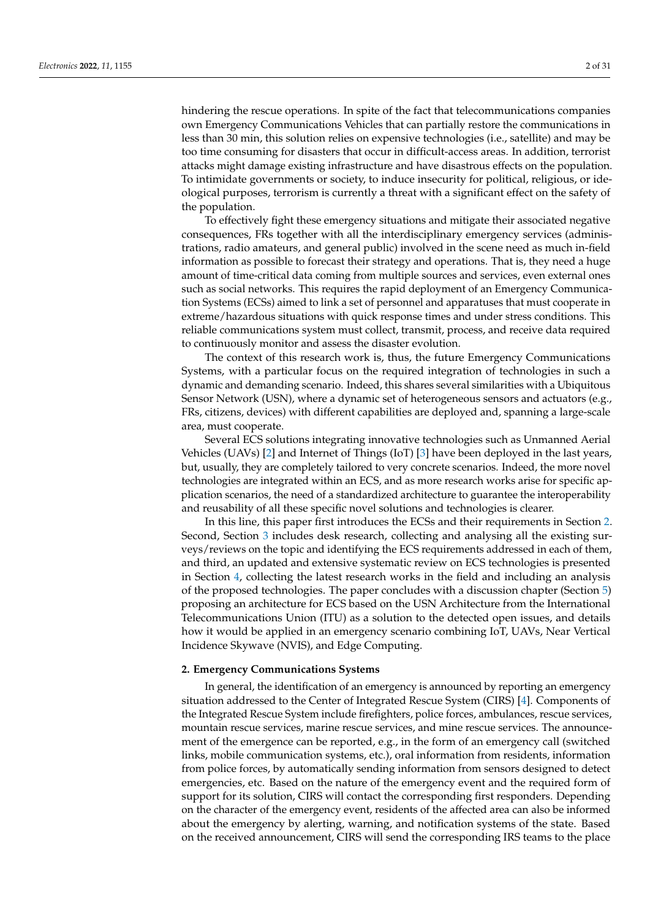hindering the rescue operations. In spite of the fact that telecommunications companies own Emergency Communications Vehicles that can partially restore the communications in less than 30 min, this solution relies on expensive technologies (i.e., satellite) and may be too time consuming for disasters that occur in difficult-access areas. In addition, terrorist attacks might damage existing infrastructure and have disastrous effects on the population. To intimidate governments or society, to induce insecurity for political, religious, or ideological purposes, terrorism is currently a threat with a significant effect on the safety of the population.

To effectively fight these emergency situations and mitigate their associated negative consequences, FRs together with all the interdisciplinary emergency services (administrations, radio amateurs, and general public) involved in the scene need as much in-field information as possible to forecast their strategy and operations. That is, they need a huge amount of time-critical data coming from multiple sources and services, even external ones such as social networks. This requires the rapid deployment of an Emergency Communication Systems (ECSs) aimed to link a set of personnel and apparatuses that must cooperate in extreme/hazardous situations with quick response times and under stress conditions. This reliable communications system must collect, transmit, process, and receive data required to continuously monitor and assess the disaster evolution.

The context of this research work is, thus, the future Emergency Communications Systems, with a particular focus on the required integration of technologies in such a dynamic and demanding scenario. Indeed, this shares several similarities with a Ubiquitous Sensor Network (USN), where a dynamic set of heterogeneous sensors and actuators (e.g., FRs, citizens, devices) with different capabilities are deployed and, spanning a large-scale area, must cooperate.

Several ECS solutions integrating innovative technologies such as Unmanned Aerial Vehicles (UAVs) [\[2\]](#page-28-1) and Internet of Things (IoT) [\[3\]](#page-28-2) have been deployed in the last years, but, usually, they are completely tailored to very concrete scenarios. Indeed, the more novel technologies are integrated within an ECS, and as more research works arise for specific application scenarios, the need of a standardized architecture to guarantee the interoperability and reusability of all these specific novel solutions and technologies is clearer.

In this line, this paper first introduces the ECSs and their requirements in Section [2.](#page-1-0) Second, Section [3](#page-4-0) includes desk research, collecting and analysing all the existing surveys/reviews on the topic and identifying the ECS requirements addressed in each of them, and third, an updated and extensive systematic review on ECS technologies is presented in Section [4,](#page-10-0) collecting the latest research works in the field and including an analysis of the proposed technologies. The paper concludes with a discussion chapter (Section [5\)](#page-22-0) proposing an architecture for ECS based on the USN Architecture from the International Telecommunications Union (ITU) as a solution to the detected open issues, and details how it would be applied in an emergency scenario combining IoT, UAVs, Near Vertical Incidence Skywave (NVIS), and Edge Computing.

#### <span id="page-1-0"></span>**2. Emergency Communications Systems**

In general, the identification of an emergency is announced by reporting an emergency situation addressed to the Center of Integrated Rescue System (CIRS) [\[4\]](#page-28-3). Components of the Integrated Rescue System include firefighters, police forces, ambulances, rescue services, mountain rescue services, marine rescue services, and mine rescue services. The announcement of the emergence can be reported, e.g., in the form of an emergency call (switched links, mobile communication systems, etc.), oral information from residents, information from police forces, by automatically sending information from sensors designed to detect emergencies, etc. Based on the nature of the emergency event and the required form of support for its solution, CIRS will contact the corresponding first responders. Depending on the character of the emergency event, residents of the affected area can also be informed about the emergency by alerting, warning, and notification systems of the state. Based on the received announcement, CIRS will send the corresponding IRS teams to the place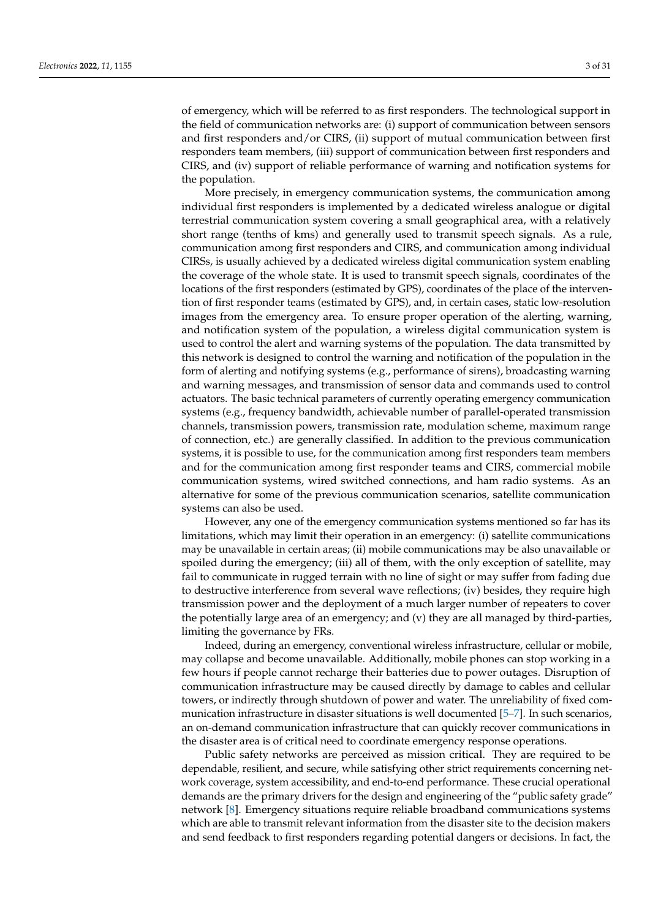of emergency, which will be referred to as first responders. The technological support in the field of communication networks are: (i) support of communication between sensors and first responders and/or CIRS, (ii) support of mutual communication between first responders team members, (iii) support of communication between first responders and CIRS, and (iv) support of reliable performance of warning and notification systems for the population.

More precisely, in emergency communication systems, the communication among individual first responders is implemented by a dedicated wireless analogue or digital terrestrial communication system covering a small geographical area, with a relatively short range (tenths of kms) and generally used to transmit speech signals. As a rule, communication among first responders and CIRS, and communication among individual CIRSs, is usually achieved by a dedicated wireless digital communication system enabling the coverage of the whole state. It is used to transmit speech signals, coordinates of the locations of the first responders (estimated by GPS), coordinates of the place of the intervention of first responder teams (estimated by GPS), and, in certain cases, static low-resolution images from the emergency area. To ensure proper operation of the alerting, warning, and notification system of the population, a wireless digital communication system is used to control the alert and warning systems of the population. The data transmitted by this network is designed to control the warning and notification of the population in the form of alerting and notifying systems (e.g., performance of sirens), broadcasting warning and warning messages, and transmission of sensor data and commands used to control actuators. The basic technical parameters of currently operating emergency communication systems (e.g., frequency bandwidth, achievable number of parallel-operated transmission channels, transmission powers, transmission rate, modulation scheme, maximum range of connection, etc.) are generally classified. In addition to the previous communication systems, it is possible to use, for the communication among first responders team members and for the communication among first responder teams and CIRS, commercial mobile communication systems, wired switched connections, and ham radio systems. As an alternative for some of the previous communication scenarios, satellite communication systems can also be used.

However, any one of the emergency communication systems mentioned so far has its limitations, which may limit their operation in an emergency: (i) satellite communications may be unavailable in certain areas; (ii) mobile communications may be also unavailable or spoiled during the emergency; (iii) all of them, with the only exception of satellite, may fail to communicate in rugged terrain with no line of sight or may suffer from fading due to destructive interference from several wave reflections; (iv) besides, they require high transmission power and the deployment of a much larger number of repeaters to cover the potentially large area of an emergency; and (v) they are all managed by third-parties, limiting the governance by FRs.

Indeed, during an emergency, conventional wireless infrastructure, cellular or mobile, may collapse and become unavailable. Additionally, mobile phones can stop working in a few hours if people cannot recharge their batteries due to power outages. Disruption of communication infrastructure may be caused directly by damage to cables and cellular towers, or indirectly through shutdown of power and water. The unreliability of fixed communication infrastructure in disaster situations is well documented [\[5–](#page-28-4)[7\]](#page-28-5). In such scenarios, an on-demand communication infrastructure that can quickly recover communications in the disaster area is of critical need to coordinate emergency response operations.

Public safety networks are perceived as mission critical. They are required to be dependable, resilient, and secure, while satisfying other strict requirements concerning network coverage, system accessibility, and end-to-end performance. These crucial operational demands are the primary drivers for the design and engineering of the "public safety grade" network [\[8\]](#page-28-6). Emergency situations require reliable broadband communications systems which are able to transmit relevant information from the disaster site to the decision makers and send feedback to first responders regarding potential dangers or decisions. In fact, the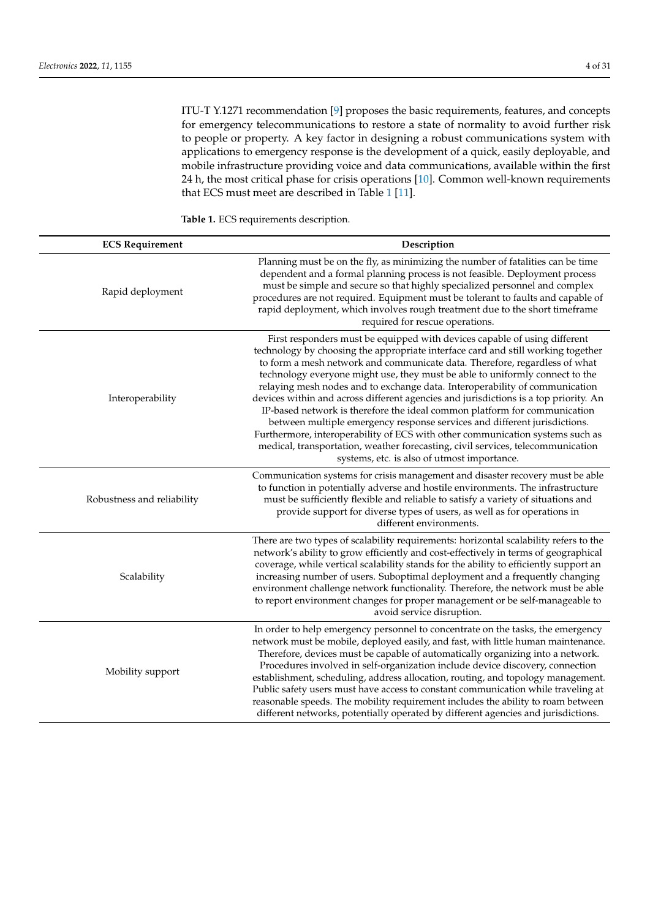ITU-T Y.1271 recommendation [\[9\]](#page-28-7) proposes the basic requirements, features, and concepts for emergency telecommunications to restore a state of normality to avoid further risk to people or property. A key factor in designing a robust communications system with applications to emergency response is the development of a quick, easily deployable, and mobile infrastructure providing voice and data communications, available within the first 24 h, the most critical phase for crisis operations [\[10\]](#page-28-8). Common well-known requirements that ECS must meet are described in Table [1](#page-4-1) [\[11\]](#page-28-9).

| <b>ECS Requirement</b>     | Description                                                                                                                                                                                                                                                                                                                                                                                                                                                                                                                                                                                                                                                                                                                                                                                                                                                                     |
|----------------------------|---------------------------------------------------------------------------------------------------------------------------------------------------------------------------------------------------------------------------------------------------------------------------------------------------------------------------------------------------------------------------------------------------------------------------------------------------------------------------------------------------------------------------------------------------------------------------------------------------------------------------------------------------------------------------------------------------------------------------------------------------------------------------------------------------------------------------------------------------------------------------------|
| Rapid deployment           | Planning must be on the fly, as minimizing the number of fatalities can be time<br>dependent and a formal planning process is not feasible. Deployment process<br>must be simple and secure so that highly specialized personnel and complex<br>procedures are not required. Equipment must be tolerant to faults and capable of<br>rapid deployment, which involves rough treatment due to the short timeframe<br>required for rescue operations.                                                                                                                                                                                                                                                                                                                                                                                                                              |
| Interoperability           | First responders must be equipped with devices capable of using different<br>technology by choosing the appropriate interface card and still working together<br>to form a mesh network and communicate data. Therefore, regardless of what<br>technology everyone might use, they must be able to uniformly connect to the<br>relaying mesh nodes and to exchange data. Interoperability of communication<br>devices within and across different agencies and jurisdictions is a top priority. An<br>IP-based network is therefore the ideal common platform for communication<br>between multiple emergency response services and different jurisdictions.<br>Furthermore, interoperability of ECS with other communication systems such as<br>medical, transportation, weather forecasting, civil services, telecommunication<br>systems, etc. is also of utmost importance. |
| Robustness and reliability | Communication systems for crisis management and disaster recovery must be able<br>to function in potentially adverse and hostile environments. The infrastructure<br>must be sufficiently flexible and reliable to satisfy a variety of situations and<br>provide support for diverse types of users, as well as for operations in<br>different environments.                                                                                                                                                                                                                                                                                                                                                                                                                                                                                                                   |
| Scalability                | There are two types of scalability requirements: horizontal scalability refers to the<br>network's ability to grow efficiently and cost-effectively in terms of geographical<br>coverage, while vertical scalability stands for the ability to efficiently support an<br>increasing number of users. Suboptimal deployment and a frequently changing<br>environment challenge network functionality. Therefore, the network must be able<br>to report environment changes for proper management or be self-manageable to<br>avoid service disruption.                                                                                                                                                                                                                                                                                                                           |
| Mobility support           | In order to help emergency personnel to concentrate on the tasks, the emergency<br>network must be mobile, deployed easily, and fast, with little human maintenance.<br>Therefore, devices must be capable of automatically organizing into a network.<br>Procedures involved in self-organization include device discovery, connection<br>establishment, scheduling, address allocation, routing, and topology management.<br>Public safety users must have access to constant communication while traveling at<br>reasonable speeds. The mobility requirement includes the ability to roam between<br>different networks, potentially operated by different agencies and jurisdictions.                                                                                                                                                                                       |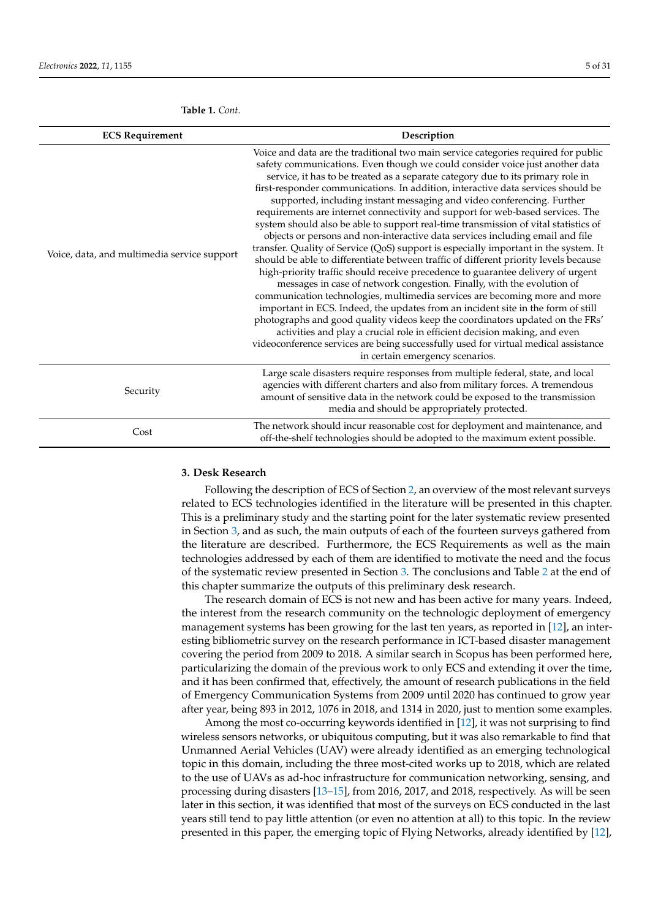# <span id="page-4-1"></span>**Table 1.** *Cont.*

| <b>ECS Requirement</b>                      | Description                                                                                                                                                                                                                                                                                                                                                                                                                                                                                                                                                                                                                                                                                                                                                                                                                                                                                                                                                                                                                                                                                                                                                                                                                                                                                                                                                                                                                                                                          |
|---------------------------------------------|--------------------------------------------------------------------------------------------------------------------------------------------------------------------------------------------------------------------------------------------------------------------------------------------------------------------------------------------------------------------------------------------------------------------------------------------------------------------------------------------------------------------------------------------------------------------------------------------------------------------------------------------------------------------------------------------------------------------------------------------------------------------------------------------------------------------------------------------------------------------------------------------------------------------------------------------------------------------------------------------------------------------------------------------------------------------------------------------------------------------------------------------------------------------------------------------------------------------------------------------------------------------------------------------------------------------------------------------------------------------------------------------------------------------------------------------------------------------------------------|
| Voice, data, and multimedia service support | Voice and data are the traditional two main service categories required for public<br>safety communications. Even though we could consider voice just another data<br>service, it has to be treated as a separate category due to its primary role in<br>first-responder communications. In addition, interactive data services should be<br>supported, including instant messaging and video conferencing. Further<br>requirements are internet connectivity and support for web-based services. The<br>system should also be able to support real-time transmission of vital statistics of<br>objects or persons and non-interactive data services including email and file<br>transfer. Quality of Service (QoS) support is especially important in the system. It<br>should be able to differentiate between traffic of different priority levels because<br>high-priority traffic should receive precedence to guarantee delivery of urgent<br>messages in case of network congestion. Finally, with the evolution of<br>communication technologies, multimedia services are becoming more and more<br>important in ECS. Indeed, the updates from an incident site in the form of still<br>photographs and good quality videos keep the coordinators updated on the FRs'<br>activities and play a crucial role in efficient decision making, and even<br>videoconference services are being successfully used for virtual medical assistance<br>in certain emergency scenarios. |
| Security                                    | Large scale disasters require responses from multiple federal, state, and local<br>agencies with different charters and also from military forces. A tremendous<br>amount of sensitive data in the network could be exposed to the transmission<br>media and should be appropriately protected.                                                                                                                                                                                                                                                                                                                                                                                                                                                                                                                                                                                                                                                                                                                                                                                                                                                                                                                                                                                                                                                                                                                                                                                      |
| Cost                                        | The network should incur reasonable cost for deployment and maintenance, and<br>off-the-shelf technologies should be adopted to the maximum extent possible.                                                                                                                                                                                                                                                                                                                                                                                                                                                                                                                                                                                                                                                                                                                                                                                                                                                                                                                                                                                                                                                                                                                                                                                                                                                                                                                         |

#### <span id="page-4-0"></span>**3. Desk Research**

Following the description of ECS of Section [2,](#page-1-0) an overview of the most relevant surveys related to ECS technologies identified in the literature will be presented in this chapter. This is a preliminary study and the starting point for the later systematic review presented in Section [3,](#page-4-0) and as such, the main outputs of each of the fourteen surveys gathered from the literature are described. Furthermore, the ECS Requirements as well as the main technologies addressed by each of them are identified to motivate the need and the focus of the systematic review presented in Section [3.](#page-4-0) The conclusions and Table [2](#page-9-0) at the end of this chapter summarize the outputs of this preliminary desk research.

The research domain of ECS is not new and has been active for many years. Indeed, the interest from the research community on the technologic deployment of emergency management systems has been growing for the last ten years, as reported in [\[12\]](#page-28-10), an interesting bibliometric survey on the research performance in ICT-based disaster management covering the period from 2009 to 2018. A similar search in Scopus has been performed here, particularizing the domain of the previous work to only ECS and extending it over the time, and it has been confirmed that, effectively, the amount of research publications in the field of Emergency Communication Systems from 2009 until 2020 has continued to grow year after year, being 893 in 2012, 1076 in 2018, and 1314 in 2020, just to mention some examples.

Among the most co-occurring keywords identified in [\[12\]](#page-28-10), it was not surprising to find wireless sensors networks, or ubiquitous computing, but it was also remarkable to find that Unmanned Aerial Vehicles (UAV) were already identified as an emerging technological topic in this domain, including the three most-cited works up to 2018, which are related to the use of UAVs as ad-hoc infrastructure for communication networking, sensing, and processing during disasters [\[13–](#page-28-11)[15\]](#page-28-12), from 2016, 2017, and 2018, respectively. As will be seen later in this section, it was identified that most of the surveys on ECS conducted in the last years still tend to pay little attention (or even no attention at all) to this topic. In the review presented in this paper, the emerging topic of Flying Networks, already identified by [\[12\]](#page-28-10),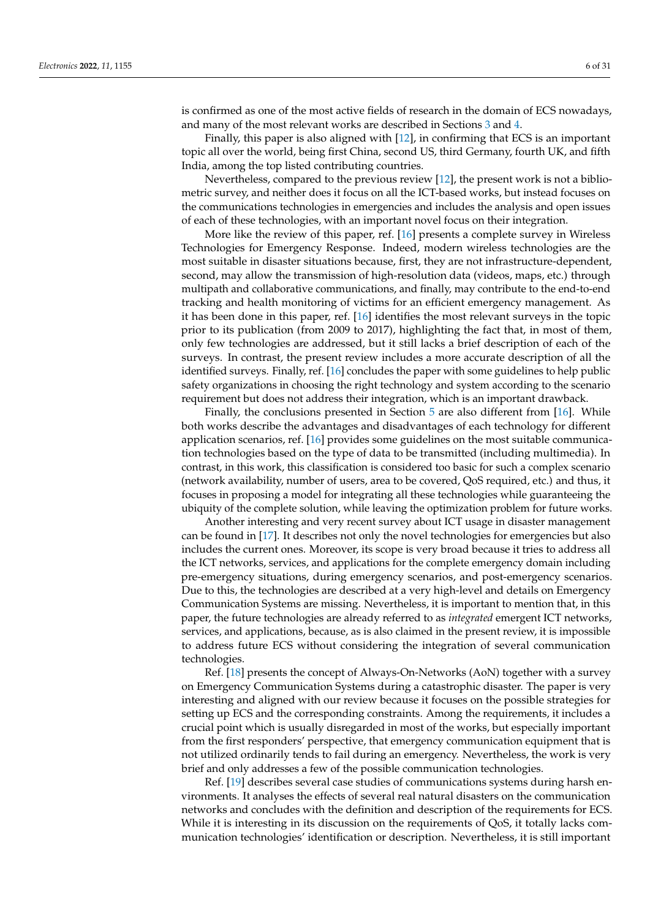is confirmed as one of the most active fields of research in the domain of ECS nowadays, and many of the most relevant works are described in Sections [3](#page-4-0) and [4.](#page-10-0)

Finally, this paper is also aligned with [\[12\]](#page-28-10), in confirming that ECS is an important topic all over the world, being first China, second US, third Germany, fourth UK, and fifth India, among the top listed contributing countries.

Nevertheless, compared to the previous review [\[12\]](#page-28-10), the present work is not a bibliometric survey, and neither does it focus on all the ICT-based works, but instead focuses on the communications technologies in emergencies and includes the analysis and open issues of each of these technologies, with an important novel focus on their integration.

More like the review of this paper, ref. [\[16\]](#page-28-13) presents a complete survey in Wireless Technologies for Emergency Response. Indeed, modern wireless technologies are the most suitable in disaster situations because, first, they are not infrastructure-dependent, second, may allow the transmission of high-resolution data (videos, maps, etc.) through multipath and collaborative communications, and finally, may contribute to the end-to-end tracking and health monitoring of victims for an efficient emergency management. As it has been done in this paper, ref. [\[16\]](#page-28-13) identifies the most relevant surveys in the topic prior to its publication (from 2009 to 2017), highlighting the fact that, in most of them, only few technologies are addressed, but it still lacks a brief description of each of the surveys. In contrast, the present review includes a more accurate description of all the identified surveys. Finally, ref. [\[16\]](#page-28-13) concludes the paper with some guidelines to help public safety organizations in choosing the right technology and system according to the scenario requirement but does not address their integration, which is an important drawback.

Finally, the conclusions presented in Section [5](#page-22-0) are also different from [\[16\]](#page-28-13). While both works describe the advantages and disadvantages of each technology for different application scenarios, ref. [\[16\]](#page-28-13) provides some guidelines on the most suitable communication technologies based on the type of data to be transmitted (including multimedia). In contrast, in this work, this classification is considered too basic for such a complex scenario (network availability, number of users, area to be covered, QoS required, etc.) and thus, it focuses in proposing a model for integrating all these technologies while guaranteeing the ubiquity of the complete solution, while leaving the optimization problem for future works.

Another interesting and very recent survey about ICT usage in disaster management can be found in [\[17\]](#page-28-14). It describes not only the novel technologies for emergencies but also includes the current ones. Moreover, its scope is very broad because it tries to address all the ICT networks, services, and applications for the complete emergency domain including pre-emergency situations, during emergency scenarios, and post-emergency scenarios. Due to this, the technologies are described at a very high-level and details on Emergency Communication Systems are missing. Nevertheless, it is important to mention that, in this paper, the future technologies are already referred to as *integrated* emergent ICT networks, services, and applications, because, as is also claimed in the present review, it is impossible to address future ECS without considering the integration of several communication technologies.

Ref. [\[18\]](#page-28-15) presents the concept of Always-On-Networks (AoN) together with a survey on Emergency Communication Systems during a catastrophic disaster. The paper is very interesting and aligned with our review because it focuses on the possible strategies for setting up ECS and the corresponding constraints. Among the requirements, it includes a crucial point which is usually disregarded in most of the works, but especially important from the first responders' perspective, that emergency communication equipment that is not utilized ordinarily tends to fail during an emergency. Nevertheless, the work is very brief and only addresses a few of the possible communication technologies.

Ref. [\[19\]](#page-28-16) describes several case studies of communications systems during harsh environments. It analyses the effects of several real natural disasters on the communication networks and concludes with the definition and description of the requirements for ECS. While it is interesting in its discussion on the requirements of QoS, it totally lacks communication technologies' identification or description. Nevertheless, it is still important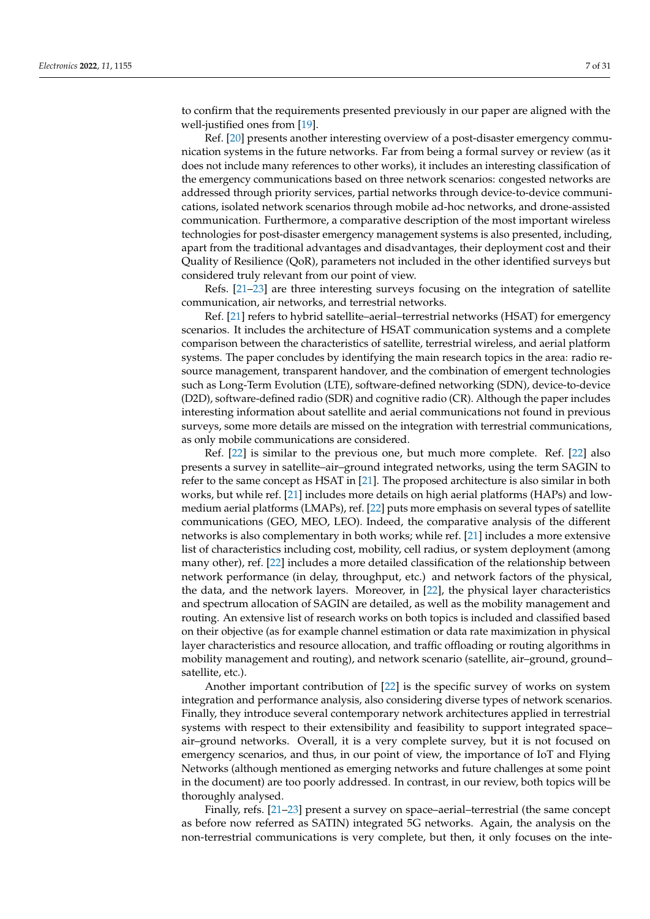to confirm that the requirements presented previously in our paper are aligned with the well-justified ones from [\[19\]](#page-28-16).

Ref. [\[20\]](#page-28-17) presents another interesting overview of a post-disaster emergency communication systems in the future networks. Far from being a formal survey or review (as it does not include many references to other works), it includes an interesting classification of the emergency communications based on three network scenarios: congested networks are addressed through priority services, partial networks through device-to-device communications, isolated network scenarios through mobile ad-hoc networks, and drone-assisted communication. Furthermore, a comparative description of the most important wireless technologies for post-disaster emergency management systems is also presented, including, apart from the traditional advantages and disadvantages, their deployment cost and their Quality of Resilience (QoR), parameters not included in the other identified surveys but considered truly relevant from our point of view.

Refs. [\[21–](#page-28-18)[23\]](#page-28-19) are three interesting surveys focusing on the integration of satellite communication, air networks, and terrestrial networks.

Ref. [\[21\]](#page-28-18) refers to hybrid satellite–aerial–terrestrial networks (HSAT) for emergency scenarios. It includes the architecture of HSAT communication systems and a complete comparison between the characteristics of satellite, terrestrial wireless, and aerial platform systems. The paper concludes by identifying the main research topics in the area: radio resource management, transparent handover, and the combination of emergent technologies such as Long-Term Evolution (LTE), software-defined networking (SDN), device-to-device (D2D), software-defined radio (SDR) and cognitive radio (CR). Although the paper includes interesting information about satellite and aerial communications not found in previous surveys, some more details are missed on the integration with terrestrial communications, as only mobile communications are considered.

Ref. [\[22\]](#page-28-20) is similar to the previous one, but much more complete. Ref. [\[22\]](#page-28-20) also presents a survey in satellite–air–ground integrated networks, using the term SAGIN to refer to the same concept as HSAT in [\[21\]](#page-28-18). The proposed architecture is also similar in both works, but while ref. [\[21\]](#page-28-18) includes more details on high aerial platforms (HAPs) and lowmedium aerial platforms (LMAPs), ref. [\[22\]](#page-28-20) puts more emphasis on several types of satellite communications (GEO, MEO, LEO). Indeed, the comparative analysis of the different networks is also complementary in both works; while ref. [\[21\]](#page-28-18) includes a more extensive list of characteristics including cost, mobility, cell radius, or system deployment (among many other), ref. [\[22\]](#page-28-20) includes a more detailed classification of the relationship between network performance (in delay, throughput, etc.) and network factors of the physical, the data, and the network layers. Moreover, in [\[22\]](#page-28-20), the physical layer characteristics and spectrum allocation of SAGIN are detailed, as well as the mobility management and routing. An extensive list of research works on both topics is included and classified based on their objective (as for example channel estimation or data rate maximization in physical layer characteristics and resource allocation, and traffic offloading or routing algorithms in mobility management and routing), and network scenario (satellite, air–ground, ground– satellite, etc.).

Another important contribution of [\[22\]](#page-28-20) is the specific survey of works on system integration and performance analysis, also considering diverse types of network scenarios. Finally, they introduce several contemporary network architectures applied in terrestrial systems with respect to their extensibility and feasibility to support integrated space– air–ground networks. Overall, it is a very complete survey, but it is not focused on emergency scenarios, and thus, in our point of view, the importance of IoT and Flying Networks (although mentioned as emerging networks and future challenges at some point in the document) are too poorly addressed. In contrast, in our review, both topics will be thoroughly analysed.

Finally, refs. [\[21](#page-28-18)[–23\]](#page-28-19) present a survey on space–aerial–terrestrial (the same concept as before now referred as SATIN) integrated 5G networks. Again, the analysis on the non-terrestrial communications is very complete, but then, it only focuses on the inte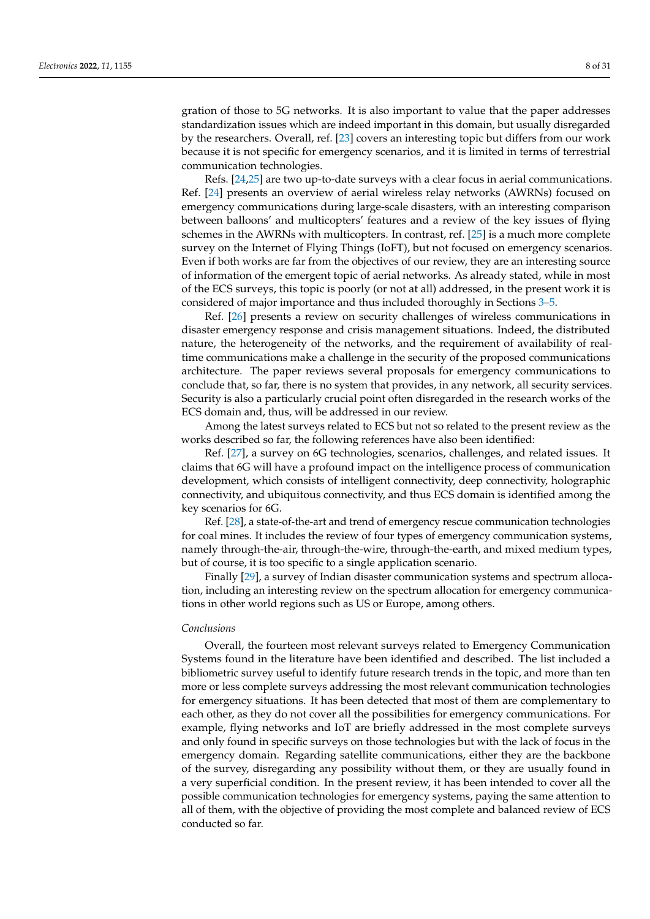gration of those to 5G networks. It is also important to value that the paper addresses standardization issues which are indeed important in this domain, but usually disregarded by the researchers. Overall, ref. [\[23\]](#page-28-19) covers an interesting topic but differs from our work because it is not specific for emergency scenarios, and it is limited in terms of terrestrial communication technologies.

Refs. [\[24,](#page-28-21)[25\]](#page-28-22) are two up-to-date surveys with a clear focus in aerial communications. Ref. [\[24\]](#page-28-21) presents an overview of aerial wireless relay networks (AWRNs) focused on emergency communications during large-scale disasters, with an interesting comparison between balloons' and multicopters' features and a review of the key issues of flying schemes in the AWRNs with multicopters. In contrast, ref. [\[25\]](#page-28-22) is a much more complete survey on the Internet of Flying Things (IoFT), but not focused on emergency scenarios. Even if both works are far from the objectives of our review, they are an interesting source of information of the emergent topic of aerial networks. As already stated, while in most of the ECS surveys, this topic is poorly (or not at all) addressed, in the present work it is considered of major importance and thus included thoroughly in Sections [3](#page-4-0)[–5.](#page-22-0)

Ref. [\[26\]](#page-28-23) presents a review on security challenges of wireless communications in disaster emergency response and crisis management situations. Indeed, the distributed nature, the heterogeneity of the networks, and the requirement of availability of realtime communications make a challenge in the security of the proposed communications architecture. The paper reviews several proposals for emergency communications to conclude that, so far, there is no system that provides, in any network, all security services. Security is also a particularly crucial point often disregarded in the research works of the ECS domain and, thus, will be addressed in our review.

Among the latest surveys related to ECS but not so related to the present review as the works described so far, the following references have also been identified:

Ref. [\[27\]](#page-28-24), a survey on 6G technologies, scenarios, challenges, and related issues. It claims that 6G will have a profound impact on the intelligence process of communication development, which consists of intelligent connectivity, deep connectivity, holographic connectivity, and ubiquitous connectivity, and thus ECS domain is identified among the key scenarios for 6G.

Ref. [\[28\]](#page-28-25), a state-of-the-art and trend of emergency rescue communication technologies for coal mines. It includes the review of four types of emergency communication systems, namely through-the-air, through-the-wire, through-the-earth, and mixed medium types, but of course, it is too specific to a single application scenario.

Finally [\[29\]](#page-28-26), a survey of Indian disaster communication systems and spectrum allocation, including an interesting review on the spectrum allocation for emergency communications in other world regions such as US or Europe, among others.

### *Conclusions*

Overall, the fourteen most relevant surveys related to Emergency Communication Systems found in the literature have been identified and described. The list included a bibliometric survey useful to identify future research trends in the topic, and more than ten more or less complete surveys addressing the most relevant communication technologies for emergency situations. It has been detected that most of them are complementary to each other, as they do not cover all the possibilities for emergency communications. For example, flying networks and IoT are briefly addressed in the most complete surveys and only found in specific surveys on those technologies but with the lack of focus in the emergency domain. Regarding satellite communications, either they are the backbone of the survey, disregarding any possibility without them, or they are usually found in a very superficial condition. In the present review, it has been intended to cover all the possible communication technologies for emergency systems, paying the same attention to all of them, with the objective of providing the most complete and balanced review of ECS conducted so far.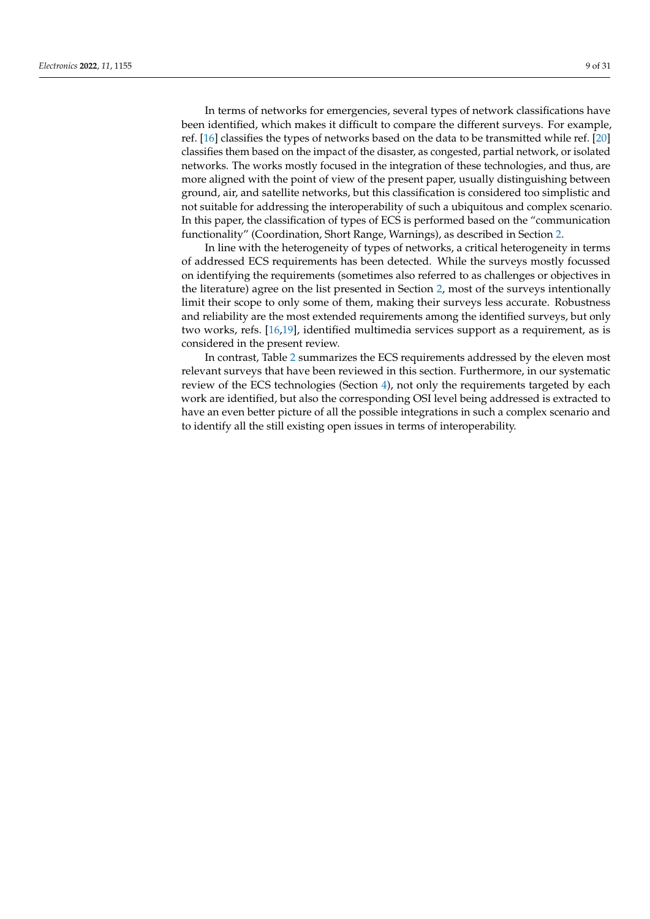In terms of networks for emergencies, several types of network classifications have been identified, which makes it difficult to compare the different surveys. For example, ref. [\[16\]](#page-28-13) classifies the types of networks based on the data to be transmitted while ref. [\[20\]](#page-28-17) classifies them based on the impact of the disaster, as congested, partial network, or isolated networks. The works mostly focused in the integration of these technologies, and thus, are more aligned with the point of view of the present paper, usually distinguishing between ground, air, and satellite networks, but this classification is considered too simplistic and not suitable for addressing the interoperability of such a ubiquitous and complex scenario. In this paper, the classification of types of ECS is performed based on the "communication functionality" (Coordination, Short Range, Warnings), as described in Section [2.](#page-1-0)

In line with the heterogeneity of types of networks, a critical heterogeneity in terms of addressed ECS requirements has been detected. While the surveys mostly focussed on identifying the requirements (sometimes also referred to as challenges or objectives in the literature) agree on the list presented in Section [2,](#page-1-0) most of the surveys intentionally limit their scope to only some of them, making their surveys less accurate. Robustness and reliability are the most extended requirements among the identified surveys, but only two works, refs. [\[16,](#page-28-13)[19\]](#page-28-16), identified multimedia services support as a requirement, as is considered in the present review.

In contrast, Table [2](#page-9-0) summarizes the ECS requirements addressed by the eleven most relevant surveys that have been reviewed in this section. Furthermore, in our systematic review of the ECS technologies (Section [4\)](#page-10-0), not only the requirements targeted by each work are identified, but also the corresponding OSI level being addressed is extracted to have an even better picture of all the possible integrations in such a complex scenario and to identify all the still existing open issues in terms of interoperability.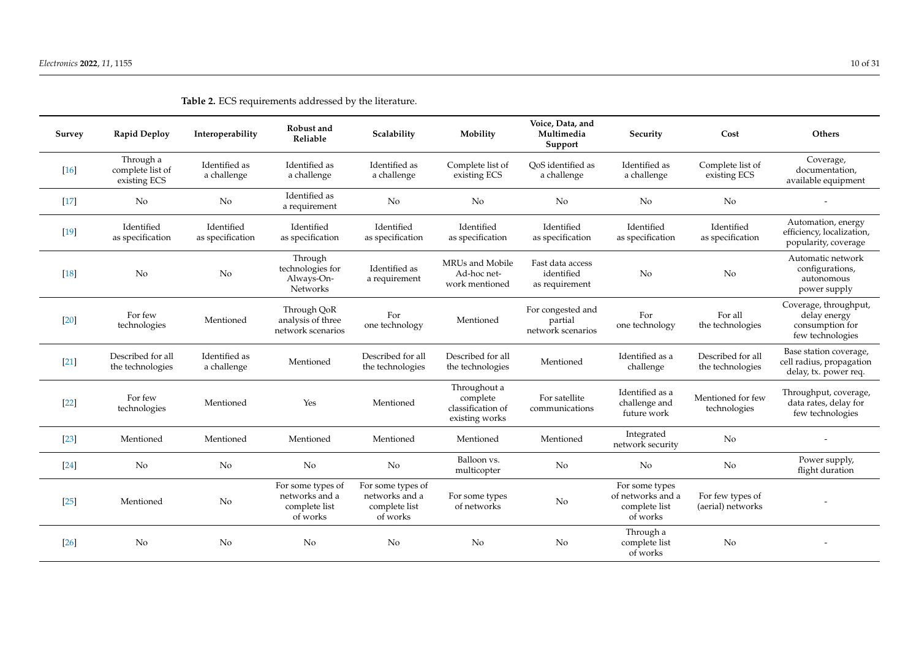<span id="page-9-0"></span>

| Survey | <b>Rapid Deploy</b>                           | Interoperability               | Robust and<br>Reliable                                           | Scalability                                                      | Mobility                                                        | Voice, Data, and<br>Multimedia<br>Support         | Security                                                         | Cost                                  | Others                                                                       |
|--------|-----------------------------------------------|--------------------------------|------------------------------------------------------------------|------------------------------------------------------------------|-----------------------------------------------------------------|---------------------------------------------------|------------------------------------------------------------------|---------------------------------------|------------------------------------------------------------------------------|
| $[16]$ | Through a<br>complete list of<br>existing ECS | Identified as<br>a challenge   | Identified as<br>a challenge                                     | Identified as<br>a challenge                                     | Complete list of<br>existing ECS                                | OoS identified as<br>a challenge                  | Identified as<br>a challenge                                     | Complete list of<br>existing ECS      | Coverage,<br>documentation,<br>available equipment                           |
| $[17]$ | N <sub>o</sub>                                | N <sub>o</sub>                 | Identified as<br>a requirement                                   | N <sub>o</sub>                                                   | No                                                              | No                                                | N <sub>o</sub>                                                   | No                                    | $\overline{\phantom{a}}$                                                     |
| $[19]$ | Identified<br>as specification                | Identified<br>as specification | Identified<br>as specification                                   | Identified<br>as specification                                   | Identified<br>as specification                                  | Identified<br>as specification                    | Identified<br>as specification                                   | Identified<br>as specification        | Automation, energy<br>efficiency, localization,<br>popularity, coverage      |
| $[18]$ | No                                            | N <sub>o</sub>                 | Through<br>technologies for<br>Always-On-<br>Networks            | Identified as<br>a requirement                                   | MRUs and Mobile<br>Ad-hoc net-<br>work mentioned                | Fast data access<br>identified<br>as requirement  | No                                                               | No                                    | Automatic network<br>configurations,<br>autonomous<br>power supply           |
| $[20]$ | For few<br>technologies                       | Mentioned                      | Through QoR<br>analysis of three<br>network scenarios            | For<br>one technology                                            | Mentioned                                                       | For congested and<br>partial<br>network scenarios | For<br>one technology                                            | For all<br>the technologies           | Coverage, throughput,<br>delay energy<br>consumption for<br>few technologies |
| $[21]$ | Described for all<br>the technologies         | Identified as<br>a challenge   | Mentioned                                                        | Described for all<br>the technologies                            | Described for all<br>the technologies                           | Mentioned                                         | Identified as a<br>challenge                                     | Described for all<br>the technologies | Base station coverage,<br>cell radius, propagation<br>delay, tx. power req.  |
| $[22]$ | For few<br>technologies                       | Mentioned                      | Yes                                                              | Mentioned                                                        | Throughout a<br>complete<br>classification of<br>existing works | For satellite<br>communications                   | Identified as a<br>challenge and<br>future work                  | Mentioned for few<br>technologies     | Throughput, coverage,<br>data rates, delay for<br>few technologies           |
| $[23]$ | Mentioned                                     | Mentioned                      | Mentioned                                                        | Mentioned                                                        | Mentioned                                                       | Mentioned                                         | Integrated<br>network security                                   | No                                    |                                                                              |
| $[24]$ | N <sub>o</sub>                                | N <sub>o</sub>                 | No                                                               | No                                                               | Balloon vs.<br>multicopter                                      | No                                                | N <sub>o</sub>                                                   | No                                    | Power supply,<br>flight duration                                             |
| $[25]$ | Mentioned                                     | N <sub>o</sub>                 | For some types of<br>networks and a<br>complete list<br>of works | For some types of<br>networks and a<br>complete list<br>of works | For some types<br>of networks                                   | No                                                | For some types<br>of networks and a<br>complete list<br>of works | For few types of<br>(aerial) networks |                                                                              |
| $[26]$ | No                                            | N <sub>o</sub>                 | No                                                               | N <sub>o</sub>                                                   | N <sub>o</sub>                                                  | No                                                | Through a<br>complete list<br>of works                           | No                                    |                                                                              |

# **Table 2.** ECS requirements addressed by the literature.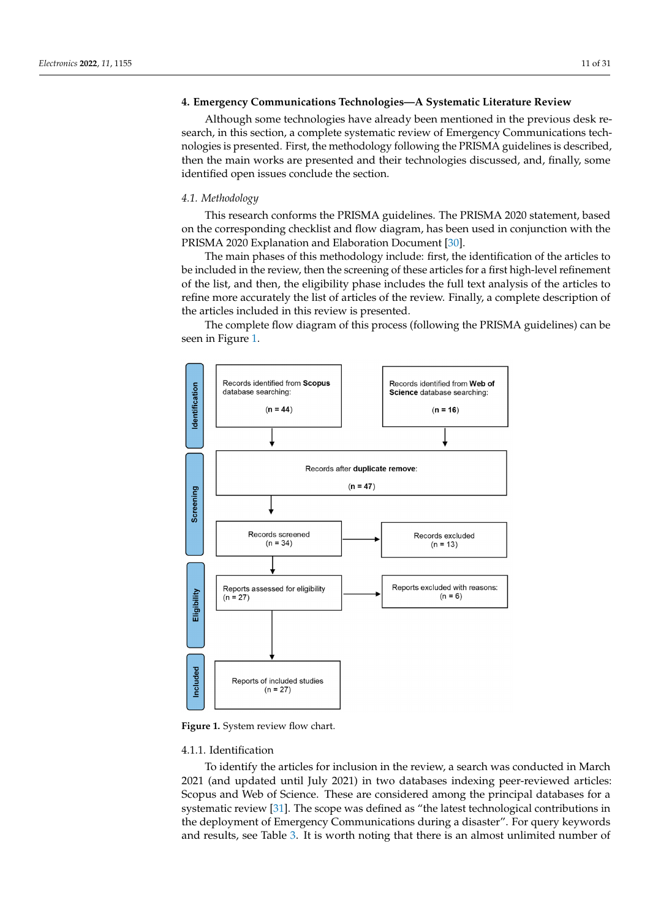# <span id="page-10-0"></span>4. Emergency Communications Technologies—A Systematic Literature Review

Although some technologies have already been mentioned in the previous desk research, in this section, a complete systematic review of Emergency Communications technologies is presented. First, the methodology following the PRISMA guidelines is described, then the main works are presented and their technologies discussed, and, finally, some identified open issues conclude the section.

#### *4.1. Methodology*  $T$  research conforms the PRISMA guidelines. The PRISMA  $g$

This research conforms the PRISMA guidelines. The PRISMA 2020 statement, based on the corresponding checklist and flow diagram, has been used in conjunction with the PRISMA 2020 Explanation and Elaboration Document [\[30\]](#page-29-0).

The main phases of this methodology include: first, the identification of the articles to be included in the review, then the screening of these articles for a first high-level refinement of the list, and then, the eligibility phase includes the full text analysis of the articles to refine more accurately the list of articles of the review. Finally, a complete description of the articles included in this review is presented.<br>The complete flow diagram of the PRISMA guidelines (following the PRISMA guidelines) can be a set of the complete

The complete flow diagram of this process (following the PRISMA guidelines) can be seen in Figure [1.](#page-10-1)

<span id="page-10-1"></span>

**Figure 1.** System review flow chart. **Figure 1.** System review flow chart.

# 4.1.1. Identification

To identify the articles for inclusion in the review, a search was conducted in March 2021 (and updated until July 2021) in two databases indexing peer-reviewed articles: Scopus and Web of Science. These are considered among the principal databases for a systematic review [\[31\]](#page-29-1). The scope was defined as "the latest technological contributions in the deployment of Emergency Communications during a disaster". For query keywords and results, see Table [3.](#page-11-0) It is worth noting that there is an almost unlimited number of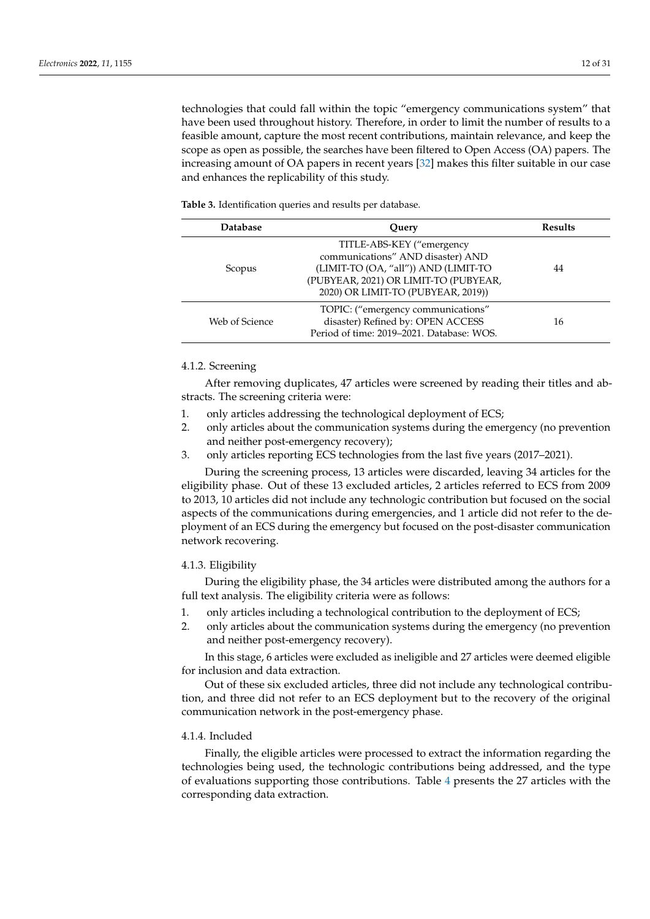technologies that could fall within the topic "emergency communications system" that have been used throughout history. Therefore, in order to limit the number of results to a feasible amount, capture the most recent contributions, maintain relevance, and keep the scope as open as possible, the searches have been filtered to Open Access (OA) papers. The increasing amount of OA papers in recent years [\[32\]](#page-29-2) makes this filter suitable in our case and enhances the replicability of this study.

| <b>Database</b> | Query                                                                                                                                                                                 | <b>Results</b> |
|-----------------|---------------------------------------------------------------------------------------------------------------------------------------------------------------------------------------|----------------|
| Scopus          | TITLE-ABS-KEY ("emergency<br>communications" AND disaster) AND<br>(LIMIT-TO (OA, "all")) AND (LIMIT-TO<br>(PUBYEAR, 2021) OR LIMIT-TO (PUBYEAR,<br>2020) OR LIMIT-TO (PUBYEAR, 2019)) | 44             |
| Web of Science  | TOPIC: ("emergency communications"<br>disaster) Refined by: OPEN ACCESS<br>Period of time: 2019–2021. Database: WOS.                                                                  | 16             |

<span id="page-11-0"></span>**Table 3.** Identification queries and results per database.

#### 4.1.2. Screening

After removing duplicates, 47 articles were screened by reading their titles and abstracts. The screening criteria were:

- 1. only articles addressing the technological deployment of ECS;
- 2. only articles about the communication systems during the emergency (no prevention and neither post-emergency recovery);
- 3. only articles reporting ECS technologies from the last five years (2017–2021).

During the screening process, 13 articles were discarded, leaving 34 articles for the eligibility phase. Out of these 13 excluded articles, 2 articles referred to ECS from 2009 to 2013, 10 articles did not include any technologic contribution but focused on the social aspects of the communications during emergencies, and 1 article did not refer to the deployment of an ECS during the emergency but focused on the post-disaster communication network recovering.

#### 4.1.3. Eligibility

During the eligibility phase, the 34 articles were distributed among the authors for a full text analysis. The eligibility criteria were as follows:

- 1. only articles including a technological contribution to the deployment of ECS;
- 2. only articles about the communication systems during the emergency (no prevention and neither post-emergency recovery).

In this stage, 6 articles were excluded as ineligible and 27 articles were deemed eligible for inclusion and data extraction.

Out of these six excluded articles, three did not include any technological contribution, and three did not refer to an ECS deployment but to the recovery of the original communication network in the post-emergency phase.

# 4.1.4. Included

Finally, the eligible articles were processed to extract the information regarding the technologies being used, the technologic contributions being addressed, and the type of evaluations supporting those contributions. Table [4](#page-14-0) presents the 27 articles with the corresponding data extraction.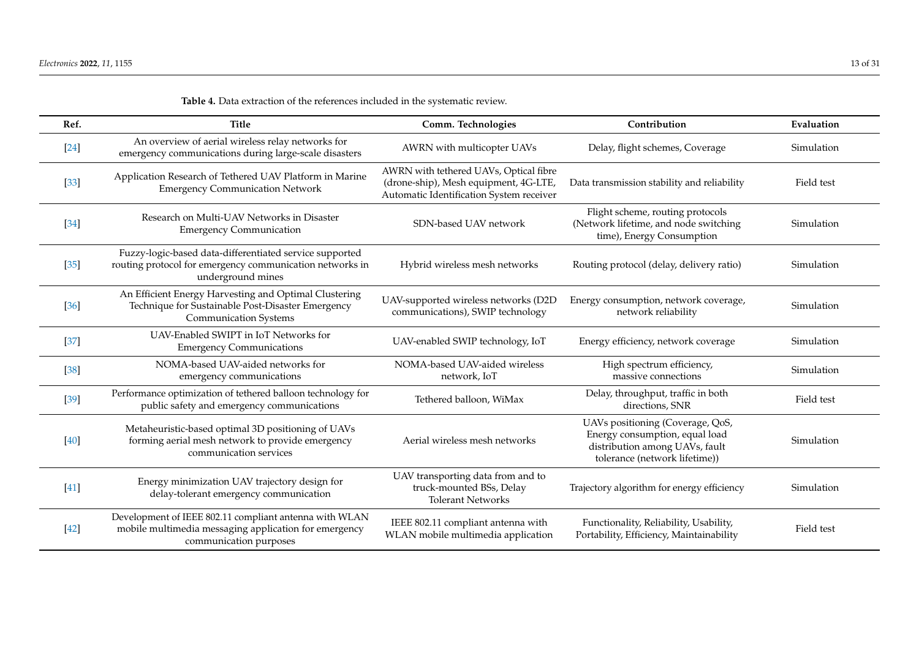| Ref.   | <b>Title</b>                                                                                                                               | Comm. Technologies                                                                                                          | Contribution                                                                                                                          | Evaluation |
|--------|--------------------------------------------------------------------------------------------------------------------------------------------|-----------------------------------------------------------------------------------------------------------------------------|---------------------------------------------------------------------------------------------------------------------------------------|------------|
| $[24]$ | An overview of aerial wireless relay networks for<br>emergency communications during large-scale disasters                                 | AWRN with multicopter UAVs                                                                                                  | Delay, flight schemes, Coverage                                                                                                       | Simulation |
| $[33]$ | Application Research of Tethered UAV Platform in Marine<br><b>Emergency Communication Network</b>                                          | AWRN with tethered UAVs, Optical fibre<br>(drone-ship), Mesh equipment, 4G-LTE,<br>Automatic Identification System receiver | Data transmission stability and reliability                                                                                           | Field test |
| $[34]$ | Research on Multi-UAV Networks in Disaster<br><b>Emergency Communication</b>                                                               | SDN-based UAV network                                                                                                       | Flight scheme, routing protocols<br>(Network lifetime, and node switching<br>time), Energy Consumption                                | Simulation |
| $[35]$ | Fuzzy-logic-based data-differentiated service supported<br>routing protocol for emergency communication networks in<br>underground mines   | Hybrid wireless mesh networks                                                                                               | Routing protocol (delay, delivery ratio)                                                                                              | Simulation |
| $[36]$ | An Efficient Energy Harvesting and Optimal Clustering<br>Technique for Sustainable Post-Disaster Emergency<br><b>Communication Systems</b> | UAV-supported wireless networks (D2D<br>communications), SWIP technology                                                    | Energy consumption, network coverage,<br>network reliability                                                                          | Simulation |
| $[37]$ | UAV-Enabled SWIPT in IoT Networks for<br><b>Emergency Communications</b>                                                                   | UAV-enabled SWIP technology, IoT                                                                                            | Energy efficiency, network coverage                                                                                                   | Simulation |
| $[38]$ | NOMA-based UAV-aided networks for<br>emergency communications                                                                              | NOMA-based UAV-aided wireless<br>network, IoT                                                                               | High spectrum efficiency,<br>massive connections                                                                                      | Simulation |
| $[39]$ | Performance optimization of tethered balloon technology for<br>public safety and emergency communications                                  | Tethered balloon, WiMax                                                                                                     | Delay, throughput, traffic in both<br>directions, SNR                                                                                 | Field test |
| $[40]$ | Metaheuristic-based optimal 3D positioning of UAVs<br>forming aerial mesh network to provide emergency<br>communication services           | Aerial wireless mesh networks                                                                                               | UAVs positioning (Coverage, QoS,<br>Energy consumption, equal load<br>distribution among UAVs, fault<br>tolerance (network lifetime)) | Simulation |
| $[41]$ | Energy minimization UAV trajectory design for<br>delay-tolerant emergency communication                                                    | UAV transporting data from and to<br>truck-mounted BSs, Delay<br><b>Tolerant Networks</b>                                   | Trajectory algorithm for energy efficiency                                                                                            | Simulation |
| $[42]$ | Development of IEEE 802.11 compliant antenna with WLAN<br>mobile multimedia messaging application for emergency<br>communication purposes  | IEEE 802.11 compliant antenna with<br>WLAN mobile multimedia application                                                    | Functionality, Reliability, Usability,<br>Portability, Efficiency, Maintainability                                                    | Field test |

|  |  |  |  | <b>Table 4.</b> Data extraction of the references included in the systematic review. |
|--|--|--|--|--------------------------------------------------------------------------------------|
|  |  |  |  |                                                                                      |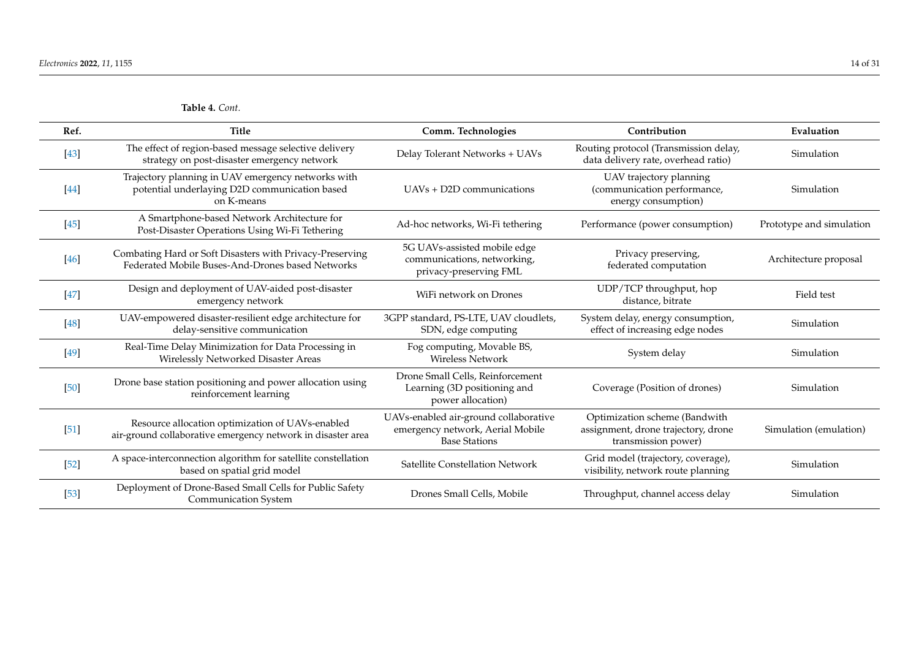| <b>Table 4.</b> Cont. |
|-----------------------|
|-----------------------|

| Ref.   | <b>Title</b>                                                                                                      | Comm. Technologies                                                                                | Contribution                                                                                | Evaluation               |
|--------|-------------------------------------------------------------------------------------------------------------------|---------------------------------------------------------------------------------------------------|---------------------------------------------------------------------------------------------|--------------------------|
| $[43]$ | The effect of region-based message selective delivery<br>strategy on post-disaster emergency network              | Delay Tolerant Networks + UAVs                                                                    | Routing protocol (Transmission delay,<br>data delivery rate, overhead ratio)                | Simulation               |
| $[44]$ | Trajectory planning in UAV emergency networks with<br>potential underlaying D2D communication based<br>on K-means | $UAVs + D2D$ communications                                                                       | UAV trajectory planning<br>(communication performance,<br>energy consumption)               | Simulation               |
| $[45]$ | A Smartphone-based Network Architecture for<br>Post-Disaster Operations Using Wi-Fi Tethering                     | Ad-hoc networks, Wi-Fi tethering                                                                  | Performance (power consumption)                                                             | Prototype and simulation |
| $[46]$ | Combating Hard or Soft Disasters with Privacy-Preserving<br>Federated Mobile Buses-And-Drones based Networks      | 5G UAVs-assisted mobile edge<br>communications, networking,<br>privacy-preserving FML             | Privacy preserving,<br>federated computation                                                | Architecture proposal    |
| $[47]$ | Design and deployment of UAV-aided post-disaster<br>emergency network                                             | WiFi network on Drones                                                                            | UDP/TCP throughput, hop<br>distance, bitrate                                                | Field test               |
| $[48]$ | UAV-empowered disaster-resilient edge architecture for<br>delay-sensitive communication                           | 3GPP standard, PS-LTE, UAV cloudlets,<br>SDN, edge computing                                      | System delay, energy consumption,<br>effect of increasing edge nodes                        | Simulation               |
| $[49]$ | Real-Time Delay Minimization for Data Processing in<br>Wirelessly Networked Disaster Areas                        | Fog computing, Movable BS,<br><b>Wireless Network</b>                                             | System delay                                                                                | Simulation               |
| [50]   | Drone base station positioning and power allocation using<br>reinforcement learning                               | Drone Small Cells, Reinforcement<br>Learning (3D positioning and<br>power allocation)             | Coverage (Position of drones)                                                               | Simulation               |
| $[51]$ | Resource allocation optimization of UAVs-enabled<br>air-ground collaborative emergency network in disaster area   | UAVs-enabled air-ground collaborative<br>emergency network, Aerial Mobile<br><b>Base Stations</b> | Optimization scheme (Bandwith<br>assignment, drone trajectory, drone<br>transmission power) | Simulation (emulation)   |
| $[52]$ | A space-interconnection algorithm for satellite constellation<br>based on spatial grid model                      | Satellite Constellation Network                                                                   | Grid model (trajectory, coverage),<br>visibility, network route planning                    | Simulation               |
| $[53]$ | Deployment of Drone-Based Small Cells for Public Safety<br>Communication System                                   | Drones Small Cells, Mobile                                                                        | Throughput, channel access delay                                                            | Simulation               |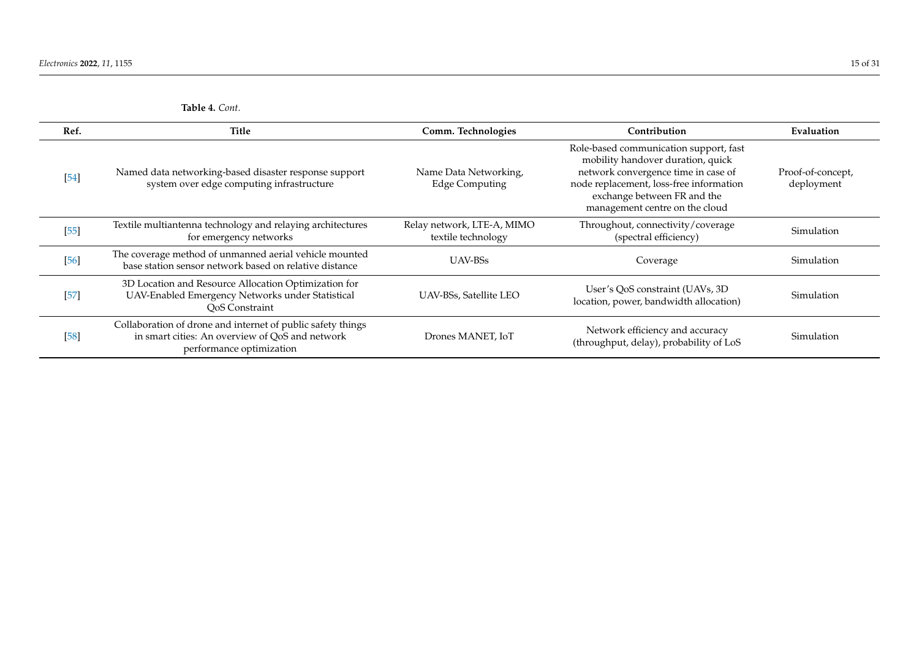**Table 4.** *Cont.*

<span id="page-14-0"></span>

| Ref.   | <b>Title</b>                                                                                                                               | Comm. Technologies                               | Contribution                                                                                                                                                                                                                   | Evaluation                      |
|--------|--------------------------------------------------------------------------------------------------------------------------------------------|--------------------------------------------------|--------------------------------------------------------------------------------------------------------------------------------------------------------------------------------------------------------------------------------|---------------------------------|
| $[54]$ | Named data networking-based disaster response support<br>system over edge computing infrastructure                                         | Name Data Networking,<br><b>Edge Computing</b>   | Role-based communication support, fast<br>mobility handover duration, quick<br>network convergence time in case of<br>node replacement, loss-free information<br>exchange between FR and the<br>management centre on the cloud | Proof-of-concept,<br>deployment |
| $[55]$ | Textile multiantenna technology and relaying architectures<br>for emergency networks                                                       | Relay network, LTE-A, MIMO<br>textile technology | Throughout, connectivity/coverage<br>(spectral efficiency)                                                                                                                                                                     | Simulation                      |
| $[56]$ | The coverage method of unmanned aerial vehicle mounted<br>base station sensor network based on relative distance                           | <b>UAV-BSs</b>                                   | Coverage                                                                                                                                                                                                                       | Simulation                      |
| $[57]$ | 3D Location and Resource Allocation Optimization for<br>UAV-Enabled Emergency Networks under Statistical<br>OoS Constraint                 | UAV-BSs, Satellite LEO                           | User's QoS constraint (UAVs, 3D)<br>location, power, bandwidth allocation)                                                                                                                                                     | Simulation                      |
| [58]   | Collaboration of drone and internet of public safety things<br>in smart cities: An overview of QoS and network<br>performance optimization | Drones MANET, IoT                                | Network efficiency and accuracy<br>(throughput, delay), probability of LoS                                                                                                                                                     | Simulation                      |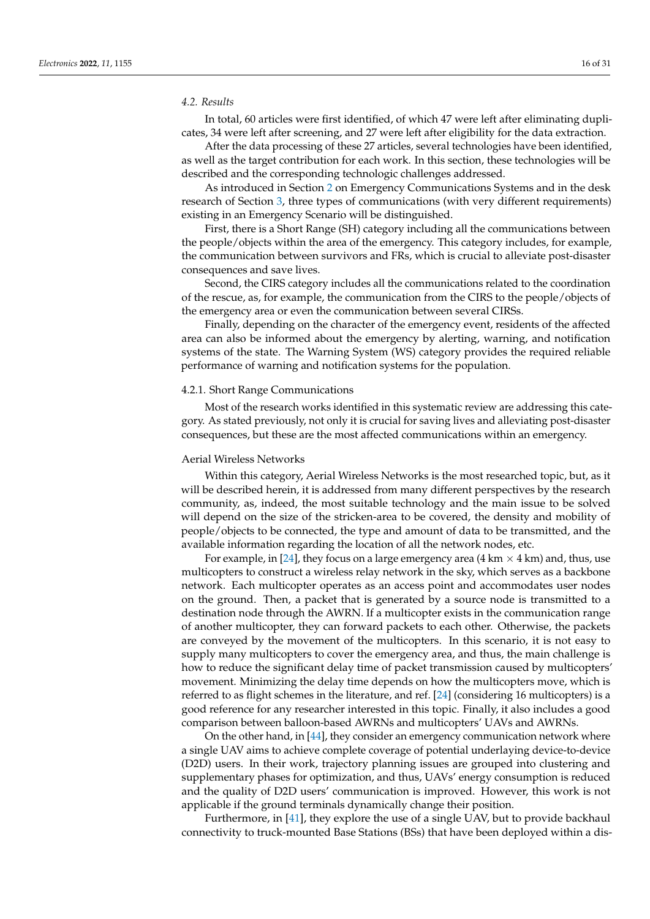#### *4.2. Results*

In total, 60 articles were first identified, of which 47 were left after eliminating duplicates, 34 were left after screening, and 27 were left after eligibility for the data extraction.

After the data processing of these 27 articles, several technologies have been identified, as well as the target contribution for each work. In this section, these technologies will be described and the corresponding technologic challenges addressed.

As introduced in Section [2](#page-1-0) on Emergency Communications Systems and in the desk research of Section [3,](#page-4-0) three types of communications (with very different requirements) existing in an Emergency Scenario will be distinguished.

First, there is a Short Range (SH) category including all the communications between the people/objects within the area of the emergency. This category includes, for example, the communication between survivors and FRs, which is crucial to alleviate post-disaster consequences and save lives.

Second, the CIRS category includes all the communications related to the coordination of the rescue, as, for example, the communication from the CIRS to the people/objects of the emergency area or even the communication between several CIRSs.

Finally, depending on the character of the emergency event, residents of the affected area can also be informed about the emergency by alerting, warning, and notification systems of the state. The Warning System (WS) category provides the required reliable performance of warning and notification systems for the population.

#### 4.2.1. Short Range Communications

Most of the research works identified in this systematic review are addressing this category. As stated previously, not only it is crucial for saving lives and alleviating post-disaster consequences, but these are the most affected communications within an emergency.

#### Aerial Wireless Networks

Within this category, Aerial Wireless Networks is the most researched topic, but, as it will be described herein, it is addressed from many different perspectives by the research community, as, indeed, the most suitable technology and the main issue to be solved will depend on the size of the stricken-area to be covered, the density and mobility of people/objects to be connected, the type and amount of data to be transmitted, and the available information regarding the location of all the network nodes, etc.

For example, in [\[24\]](#page-28-21), they focus on a large emergency area (4 km  $\times$  4 km) and, thus, use multicopters to construct a wireless relay network in the sky, which serves as a backbone network. Each multicopter operates as an access point and accommodates user nodes on the ground. Then, a packet that is generated by a source node is transmitted to a destination node through the AWRN. If a multicopter exists in the communication range of another multicopter, they can forward packets to each other. Otherwise, the packets are conveyed by the movement of the multicopters. In this scenario, it is not easy to supply many multicopters to cover the emergency area, and thus, the main challenge is how to reduce the significant delay time of packet transmission caused by multicopters' movement. Minimizing the delay time depends on how the multicopters move, which is referred to as flight schemes in the literature, and ref. [\[24\]](#page-28-21) (considering 16 multicopters) is a good reference for any researcher interested in this topic. Finally, it also includes a good comparison between balloon-based AWRNs and multicopters' UAVs and AWRNs.

On the other hand, in [\[44\]](#page-29-26), they consider an emergency communication network where a single UAV aims to achieve complete coverage of potential underlaying device-to-device (D2D) users. In their work, trajectory planning issues are grouped into clustering and supplementary phases for optimization, and thus, UAVs' energy consumption is reduced and the quality of D2D users' communication is improved. However, this work is not applicable if the ground terminals dynamically change their position.

Furthermore, in [\[41\]](#page-29-27), they explore the use of a single UAV, but to provide backhaul connectivity to truck-mounted Base Stations (BSs) that have been deployed within a dis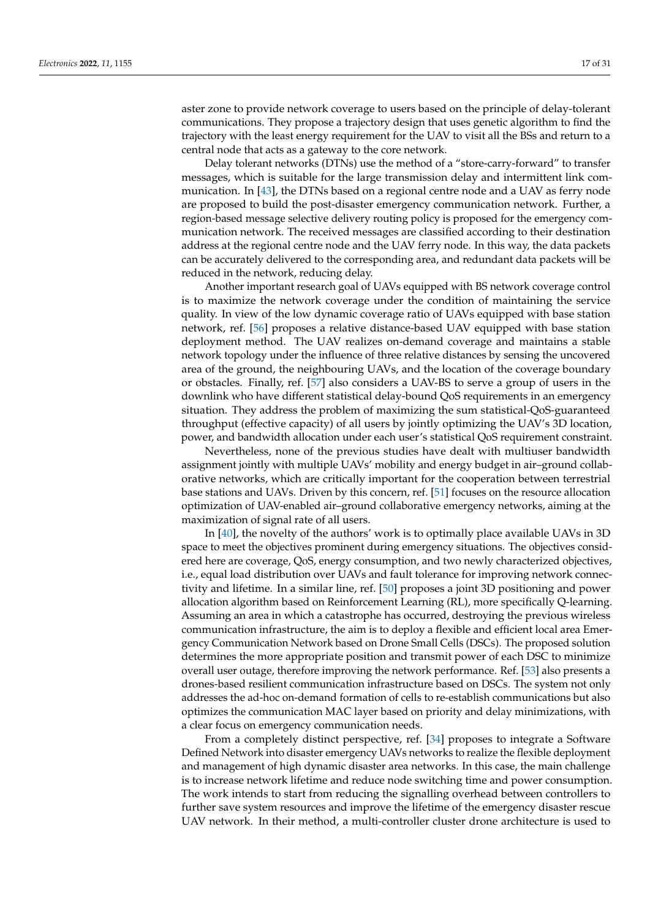aster zone to provide network coverage to users based on the principle of delay-tolerant communications. They propose a trajectory design that uses genetic algorithm to find the trajectory with the least energy requirement for the UAV to visit all the BSs and return to a central node that acts as a gateway to the core network.

Delay tolerant networks (DTNs) use the method of a "store-carry-forward" to transfer messages, which is suitable for the large transmission delay and intermittent link communication. In [\[43\]](#page-29-28), the DTNs based on a regional centre node and a UAV as ferry node are proposed to build the post-disaster emergency communication network. Further, a region-based message selective delivery routing policy is proposed for the emergency communication network. The received messages are classified according to their destination address at the regional centre node and the UAV ferry node. In this way, the data packets can be accurately delivered to the corresponding area, and redundant data packets will be reduced in the network, reducing delay.

Another important research goal of UAVs equipped with BS network coverage control is to maximize the network coverage under the condition of maintaining the service quality. In view of the low dynamic coverage ratio of UAVs equipped with base station network, ref. [\[56\]](#page-30-3) proposes a relative distance-based UAV equipped with base station deployment method. The UAV realizes on-demand coverage and maintains a stable network topology under the influence of three relative distances by sensing the uncovered area of the ground, the neighbouring UAVs, and the location of the coverage boundary or obstacles. Finally, ref. [\[57\]](#page-30-4) also considers a UAV-BS to serve a group of users in the downlink who have different statistical delay-bound QoS requirements in an emergency situation. They address the problem of maximizing the sum statistical-QoS-guaranteed throughput (effective capacity) of all users by jointly optimizing the UAV's 3D location, power, and bandwidth allocation under each user's statistical QoS requirement constraint.

Nevertheless, none of the previous studies have dealt with multiuser bandwidth assignment jointly with multiple UAVs' mobility and energy budget in air–ground collaborative networks, which are critically important for the cooperation between terrestrial base stations and UAVs. Driven by this concern, ref. [\[51\]](#page-29-29) focuses on the resource allocation optimization of UAV-enabled air–ground collaborative emergency networks, aiming at the maximization of signal rate of all users.

In [\[40\]](#page-29-30), the novelty of the authors' work is to optimally place available UAVs in 3D space to meet the objectives prominent during emergency situations. The objectives considered here are coverage, QoS, energy consumption, and two newly characterized objectives, i.e., equal load distribution over UAVs and fault tolerance for improving network connectivity and lifetime. In a similar line, ref. [\[50\]](#page-29-31) proposes a joint 3D positioning and power allocation algorithm based on Reinforcement Learning (RL), more specifically Q-learning. Assuming an area in which a catastrophe has occurred, destroying the previous wireless communication infrastructure, the aim is to deploy a flexible and efficient local area Emergency Communication Network based on Drone Small Cells (DSCs). The proposed solution determines the more appropriate position and transmit power of each DSC to minimize overall user outage, therefore improving the network performance. Ref. [\[53\]](#page-29-32) also presents a drones-based resilient communication infrastructure based on DSCs. The system not only addresses the ad-hoc on-demand formation of cells to re-establish communications but also optimizes the communication MAC layer based on priority and delay minimizations, with a clear focus on emergency communication needs.

From a completely distinct perspective, ref. [\[34\]](#page-29-33) proposes to integrate a Software Defined Network into disaster emergency UAVs networks to realize the flexible deployment and management of high dynamic disaster area networks. In this case, the main challenge is to increase network lifetime and reduce node switching time and power consumption. The work intends to start from reducing the signalling overhead between controllers to further save system resources and improve the lifetime of the emergency disaster rescue UAV network. In their method, a multi-controller cluster drone architecture is used to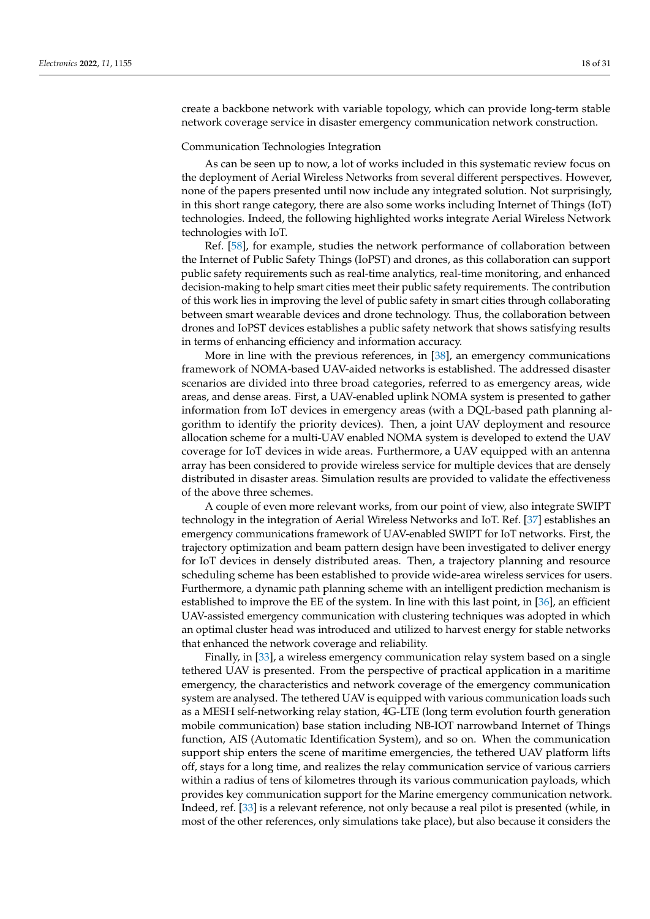create a backbone network with variable topology, which can provide long-term stable network coverage service in disaster emergency communication network construction.

#### Communication Technologies Integration

As can be seen up to now, a lot of works included in this systematic review focus on the deployment of Aerial Wireless Networks from several different perspectives. However, none of the papers presented until now include any integrated solution. Not surprisingly, in this short range category, there are also some works including Internet of Things (IoT) technologies. Indeed, the following highlighted works integrate Aerial Wireless Network technologies with IoT.

Ref. [\[58\]](#page-30-5), for example, studies the network performance of collaboration between the Internet of Public Safety Things (IoPST) and drones, as this collaboration can support public safety requirements such as real-time analytics, real-time monitoring, and enhanced decision-making to help smart cities meet their public safety requirements. The contribution of this work lies in improving the level of public safety in smart cities through collaborating between smart wearable devices and drone technology. Thus, the collaboration between drones and IoPST devices establishes a public safety network that shows satisfying results in terms of enhancing efficiency and information accuracy.

More in line with the previous references, in [\[38\]](#page-29-34), an emergency communications framework of NOMA-based UAV-aided networks is established. The addressed disaster scenarios are divided into three broad categories, referred to as emergency areas, wide areas, and dense areas. First, a UAV-enabled uplink NOMA system is presented to gather information from IoT devices in emergency areas (with a DQL-based path planning algorithm to identify the priority devices). Then, a joint UAV deployment and resource allocation scheme for a multi-UAV enabled NOMA system is developed to extend the UAV coverage for IoT devices in wide areas. Furthermore, a UAV equipped with an antenna array has been considered to provide wireless service for multiple devices that are densely distributed in disaster areas. Simulation results are provided to validate the effectiveness of the above three schemes.

A couple of even more relevant works, from our point of view, also integrate SWIPT technology in the integration of Aerial Wireless Networks and IoT. Ref. [\[37\]](#page-29-35) establishes an emergency communications framework of UAV-enabled SWIPT for IoT networks. First, the trajectory optimization and beam pattern design have been investigated to deliver energy for IoT devices in densely distributed areas. Then, a trajectory planning and resource scheduling scheme has been established to provide wide-area wireless services for users. Furthermore, a dynamic path planning scheme with an intelligent prediction mechanism is established to improve the EE of the system. In line with this last point, in [\[36\]](#page-29-36), an efficient UAV-assisted emergency communication with clustering techniques was adopted in which an optimal cluster head was introduced and utilized to harvest energy for stable networks that enhanced the network coverage and reliability.

Finally, in [\[33\]](#page-29-37), a wireless emergency communication relay system based on a single tethered UAV is presented. From the perspective of practical application in a maritime emergency, the characteristics and network coverage of the emergency communication system are analysed. The tethered UAV is equipped with various communication loads such as a MESH self-networking relay station, 4G-LTE (long term evolution fourth generation mobile communication) base station including NB-IOT narrowband Internet of Things function, AIS (Automatic Identification System), and so on. When the communication support ship enters the scene of maritime emergencies, the tethered UAV platform lifts off, stays for a long time, and realizes the relay communication service of various carriers within a radius of tens of kilometres through its various communication payloads, which provides key communication support for the Marine emergency communication network. Indeed, ref. [\[33\]](#page-29-37) is a relevant reference, not only because a real pilot is presented (while, in most of the other references, only simulations take place), but also because it considers the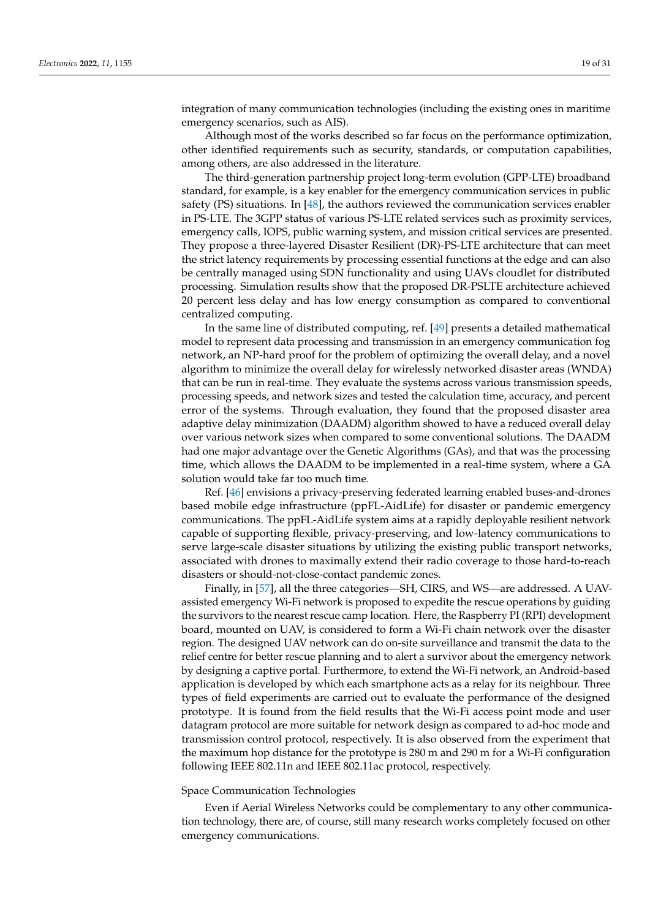integration of many communication technologies (including the existing ones in maritime emergency scenarios, such as AIS).

Although most of the works described so far focus on the performance optimization, other identified requirements such as security, standards, or computation capabilities, among others, are also addressed in the literature.

The third-generation partnership project long-term evolution (GPP-LTE) broadband standard, for example, is a key enabler for the emergency communication services in public safety (PS) situations. In [\[48\]](#page-29-38), the authors reviewed the communication services enabler in PS-LTE. The 3GPP status of various PS-LTE related services such as proximity services, emergency calls, IOPS, public warning system, and mission critical services are presented. They propose a three-layered Disaster Resilient (DR)-PS-LTE architecture that can meet the strict latency requirements by processing essential functions at the edge and can also be centrally managed using SDN functionality and using UAVs cloudlet for distributed processing. Simulation results show that the proposed DR-PSLTE architecture achieved 20 percent less delay and has low energy consumption as compared to conventional centralized computing.

In the same line of distributed computing, ref. [\[49\]](#page-29-39) presents a detailed mathematical model to represent data processing and transmission in an emergency communication fog network, an NP-hard proof for the problem of optimizing the overall delay, and a novel algorithm to minimize the overall delay for wirelessly networked disaster areas (WNDA) that can be run in real-time. They evaluate the systems across various transmission speeds, processing speeds, and network sizes and tested the calculation time, accuracy, and percent error of the systems. Through evaluation, they found that the proposed disaster area adaptive delay minimization (DAADM) algorithm showed to have a reduced overall delay over various network sizes when compared to some conventional solutions. The DAADM had one major advantage over the Genetic Algorithms (GAs), and that was the processing time, which allows the DAADM to be implemented in a real-time system, where a GA solution would take far too much time.

Ref. [\[46\]](#page-29-40) envisions a privacy-preserving federated learning enabled buses-and-drones based mobile edge infrastructure (ppFL-AidLife) for disaster or pandemic emergency communications. The ppFL-AidLife system aims at a rapidly deployable resilient network capable of supporting flexible, privacy-preserving, and low-latency communications to serve large-scale disaster situations by utilizing the existing public transport networks, associated with drones to maximally extend their radio coverage to those hard-to-reach disasters or should-not-close-contact pandemic zones.

Finally, in [\[57\]](#page-30-4), all the three categories—SH, CIRS, and WS—are addressed. A UAVassisted emergency Wi-Fi network is proposed to expedite the rescue operations by guiding the survivors to the nearest rescue camp location. Here, the Raspberry PI (RPI) development board, mounted on UAV, is considered to form a Wi-Fi chain network over the disaster region. The designed UAV network can do on-site surveillance and transmit the data to the relief centre for better rescue planning and to alert a survivor about the emergency network by designing a captive portal. Furthermore, to extend the Wi-Fi network, an Android-based application is developed by which each smartphone acts as a relay for its neighbour. Three types of field experiments are carried out to evaluate the performance of the designed prototype. It is found from the field results that the Wi-Fi access point mode and user datagram protocol are more suitable for network design as compared to ad-hoc mode and transmission control protocol, respectively. It is also observed from the experiment that the maximum hop distance for the prototype is 280 m and 290 m for a Wi-Fi configuration following IEEE 802.11n and IEEE 802.11ac protocol, respectively.

#### Space Communication Technologies

Even if Aerial Wireless Networks could be complementary to any other communication technology, there are, of course, still many research works completely focused on other emergency communications.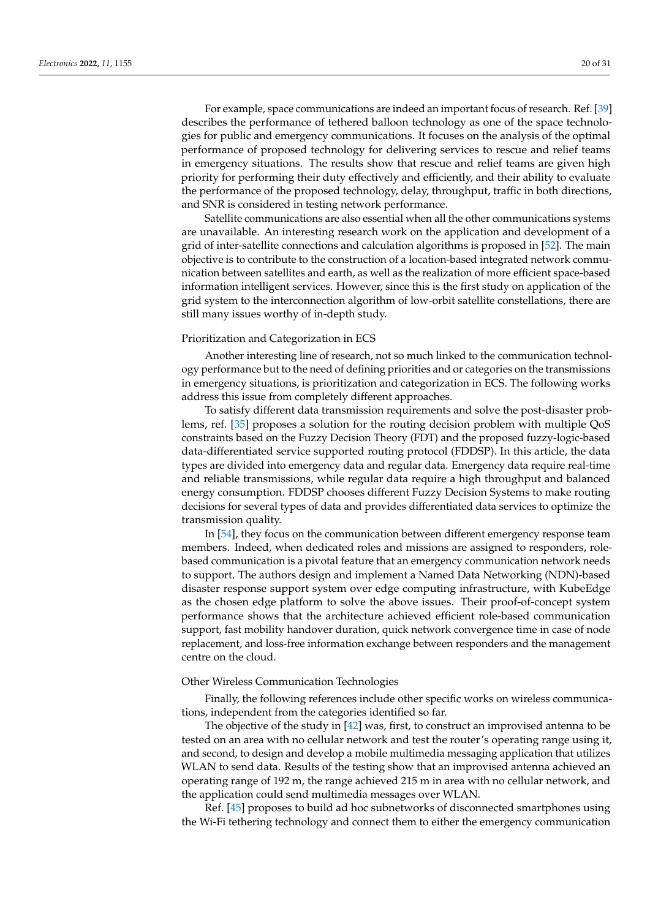For example, space communications are indeed an important focus of research. Ref. [\[39\]](#page-29-41) describes the performance of tethered balloon technology as one of the space technologies for public and emergency communications. It focuses on the analysis of the optimal performance of proposed technology for delivering services to rescue and relief teams in emergency situations. The results show that rescue and relief teams are given high priority for performing their duty effectively and efficiently, and their ability to evaluate the performance of the proposed technology, delay, throughput, traffic in both directions, and SNR is considered in testing network performance.

Satellite communications are also essential when all the other communications systems are unavailable. An interesting research work on the application and development of a grid of inter-satellite connections and calculation algorithms is proposed in [\[52\]](#page-29-42). The main objective is to contribute to the construction of a location-based integrated network communication between satellites and earth, as well as the realization of more efficient space-based information intelligent services. However, since this is the first study on application of the grid system to the interconnection algorithm of low-orbit satellite constellations, there are still many issues worthy of in-depth study.

#### Prioritization and Categorization in ECS

Another interesting line of research, not so much linked to the communication technology performance but to the need of defining priorities and or categories on the transmissions in emergency situations, is prioritization and categorization in ECS. The following works address this issue from completely different approaches.

To satisfy different data transmission requirements and solve the post-disaster problems, ref. [\[35\]](#page-29-43) proposes a solution for the routing decision problem with multiple QoS constraints based on the Fuzzy Decision Theory (FDT) and the proposed fuzzy-logic-based data-differentiated service supported routing protocol (FDDSP). In this article, the data types are divided into emergency data and regular data. Emergency data require real-time and reliable transmissions, while regular data require a high throughput and balanced energy consumption. FDDSP chooses different Fuzzy Decision Systems to make routing decisions for several types of data and provides differentiated data services to optimize the transmission quality.

In [\[54\]](#page-29-44), they focus on the communication between different emergency response team members. Indeed, when dedicated roles and missions are assigned to responders, rolebased communication is a pivotal feature that an emergency communication network needs to support. The authors design and implement a Named Data Networking (NDN)-based disaster response support system over edge computing infrastructure, with KubeEdge as the chosen edge platform to solve the above issues. Their proof-of-concept system performance shows that the architecture achieved efficient role-based communication support, fast mobility handover duration, quick network convergence time in case of node replacement, and loss-free information exchange between responders and the management centre on the cloud.

# Other Wireless Communication Technologies

Finally, the following references include other specific works on wireless communications, independent from the categories identified so far.

The objective of the study in [\[42\]](#page-29-45) was, first, to construct an improvised antenna to be tested on an area with no cellular network and test the router's operating range using it, and second, to design and develop a mobile multimedia messaging application that utilizes WLAN to send data. Results of the testing show that an improvised antenna achieved an operating range of 192 m, the range achieved 215 m in area with no cellular network, and the application could send multimedia messages over WLAN.

Ref. [\[45\]](#page-29-46) proposes to build ad hoc subnetworks of disconnected smartphones using the Wi-Fi tethering technology and connect them to either the emergency communication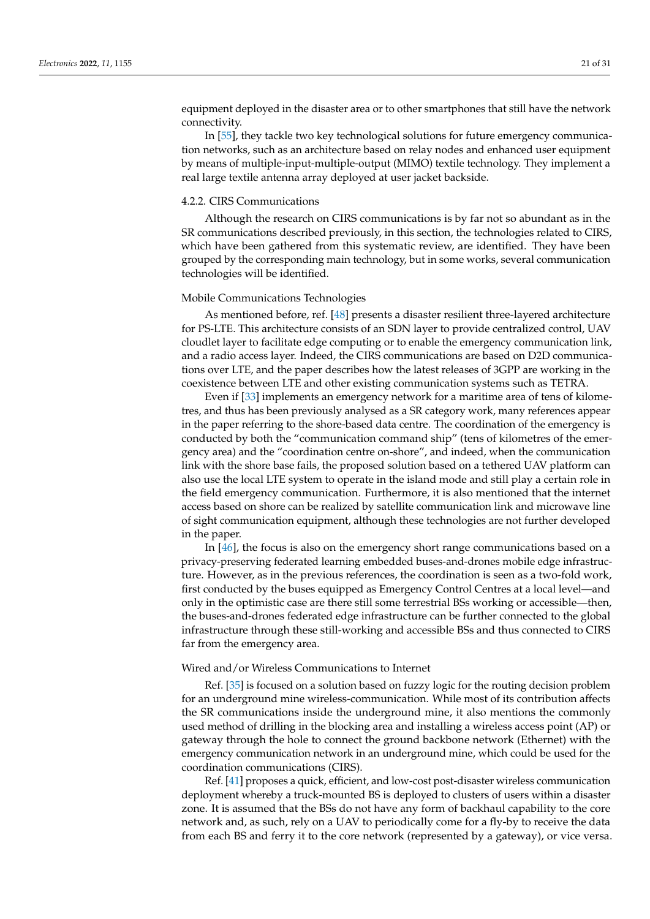equipment deployed in the disaster area or to other smartphones that still have the network connectivity.

In [\[55\]](#page-29-47), they tackle two key technological solutions for future emergency communication networks, such as an architecture based on relay nodes and enhanced user equipment by means of multiple-input-multiple-output (MIMO) textile technology. They implement a real large textile antenna array deployed at user jacket backside.

# 4.2.2. CIRS Communications

Although the research on CIRS communications is by far not so abundant as in the SR communications described previously, in this section, the technologies related to CIRS, which have been gathered from this systematic review, are identified. They have been grouped by the corresponding main technology, but in some works, several communication technologies will be identified.

#### Mobile Communications Technologies

As mentioned before, ref. [\[48\]](#page-29-38) presents a disaster resilient three-layered architecture for PS-LTE. This architecture consists of an SDN layer to provide centralized control, UAV cloudlet layer to facilitate edge computing or to enable the emergency communication link, and a radio access layer. Indeed, the CIRS communications are based on D2D communications over LTE, and the paper describes how the latest releases of 3GPP are working in the coexistence between LTE and other existing communication systems such as TETRA.

Even if [\[33\]](#page-29-37) implements an emergency network for a maritime area of tens of kilometres, and thus has been previously analysed as a SR category work, many references appear in the paper referring to the shore-based data centre. The coordination of the emergency is conducted by both the "communication command ship" (tens of kilometres of the emergency area) and the "coordination centre on-shore", and indeed, when the communication link with the shore base fails, the proposed solution based on a tethered UAV platform can also use the local LTE system to operate in the island mode and still play a certain role in the field emergency communication. Furthermore, it is also mentioned that the internet access based on shore can be realized by satellite communication link and microwave line of sight communication equipment, although these technologies are not further developed in the paper.

In [\[46\]](#page-29-40), the focus is also on the emergency short range communications based on a privacy-preserving federated learning embedded buses-and-drones mobile edge infrastructure. However, as in the previous references, the coordination is seen as a two-fold work, first conducted by the buses equipped as Emergency Control Centres at a local level—and only in the optimistic case are there still some terrestrial BSs working or accessible—then, the buses-and-drones federated edge infrastructure can be further connected to the global infrastructure through these still-working and accessible BSs and thus connected to CIRS far from the emergency area.

#### Wired and/or Wireless Communications to Internet

Ref. [\[35\]](#page-29-43) is focused on a solution based on fuzzy logic for the routing decision problem for an underground mine wireless-communication. While most of its contribution affects the SR communications inside the underground mine, it also mentions the commonly used method of drilling in the blocking area and installing a wireless access point (AP) or gateway through the hole to connect the ground backbone network (Ethernet) with the emergency communication network in an underground mine, which could be used for the coordination communications (CIRS).

Ref. [\[41\]](#page-29-27) proposes a quick, efficient, and low-cost post-disaster wireless communication deployment whereby a truck-mounted BS is deployed to clusters of users within a disaster zone. It is assumed that the BSs do not have any form of backhaul capability to the core network and, as such, rely on a UAV to periodically come for a fly-by to receive the data from each BS and ferry it to the core network (represented by a gateway), or vice versa.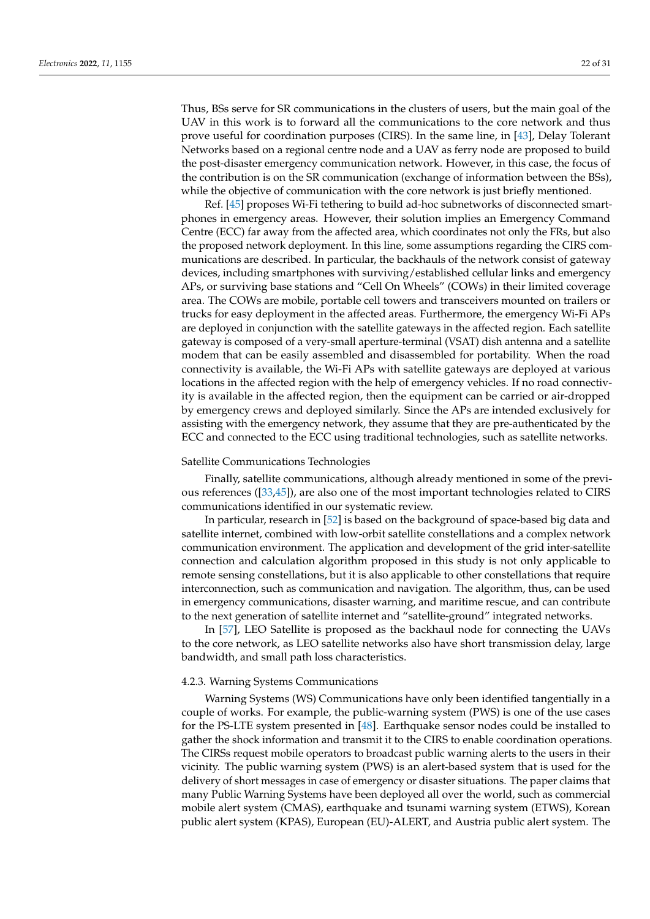Thus, BSs serve for SR communications in the clusters of users, but the main goal of the UAV in this work is to forward all the communications to the core network and thus prove useful for coordination purposes (CIRS). In the same line, in [\[43\]](#page-29-28), Delay Tolerant Networks based on a regional centre node and a UAV as ferry node are proposed to build the post-disaster emergency communication network. However, in this case, the focus of the contribution is on the SR communication (exchange of information between the BSs), while the objective of communication with the core network is just briefly mentioned.

Ref. [\[45\]](#page-29-46) proposes Wi-Fi tethering to build ad-hoc subnetworks of disconnected smartphones in emergency areas. However, their solution implies an Emergency Command Centre (ECC) far away from the affected area, which coordinates not only the FRs, but also the proposed network deployment. In this line, some assumptions regarding the CIRS communications are described. In particular, the backhauls of the network consist of gateway devices, including smartphones with surviving/established cellular links and emergency APs, or surviving base stations and "Cell On Wheels" (COWs) in their limited coverage area. The COWs are mobile, portable cell towers and transceivers mounted on trailers or trucks for easy deployment in the affected areas. Furthermore, the emergency Wi-Fi APs are deployed in conjunction with the satellite gateways in the affected region. Each satellite gateway is composed of a very-small aperture-terminal (VSAT) dish antenna and a satellite modem that can be easily assembled and disassembled for portability. When the road connectivity is available, the Wi-Fi APs with satellite gateways are deployed at various locations in the affected region with the help of emergency vehicles. If no road connectivity is available in the affected region, then the equipment can be carried or air-dropped by emergency crews and deployed similarly. Since the APs are intended exclusively for assisting with the emergency network, they assume that they are pre-authenticated by the ECC and connected to the ECC using traditional technologies, such as satellite networks.

#### Satellite Communications Technologies

Finally, satellite communications, although already mentioned in some of the previous references ([\[33](#page-29-37)[,45\]](#page-29-46)), are also one of the most important technologies related to CIRS communications identified in our systematic review.

In particular, research in [\[52\]](#page-29-42) is based on the background of space-based big data and satellite internet, combined with low-orbit satellite constellations and a complex network communication environment. The application and development of the grid inter-satellite connection and calculation algorithm proposed in this study is not only applicable to remote sensing constellations, but it is also applicable to other constellations that require interconnection, such as communication and navigation. The algorithm, thus, can be used in emergency communications, disaster warning, and maritime rescue, and can contribute to the next generation of satellite internet and "satellite-ground" integrated networks.

In [\[57\]](#page-30-4), LEO Satellite is proposed as the backhaul node for connecting the UAVs to the core network, as LEO satellite networks also have short transmission delay, large bandwidth, and small path loss characteristics.

#### 4.2.3. Warning Systems Communications

Warning Systems (WS) Communications have only been identified tangentially in a couple of works. For example, the public-warning system (PWS) is one of the use cases for the PS-LTE system presented in [\[48\]](#page-29-38). Earthquake sensor nodes could be installed to gather the shock information and transmit it to the CIRS to enable coordination operations. The CIRSs request mobile operators to broadcast public warning alerts to the users in their vicinity. The public warning system (PWS) is an alert-based system that is used for the delivery of short messages in case of emergency or disaster situations. The paper claims that many Public Warning Systems have been deployed all over the world, such as commercial mobile alert system (CMAS), earthquake and tsunami warning system (ETWS), Korean public alert system (KPAS), European (EU)-ALERT, and Austria public alert system. The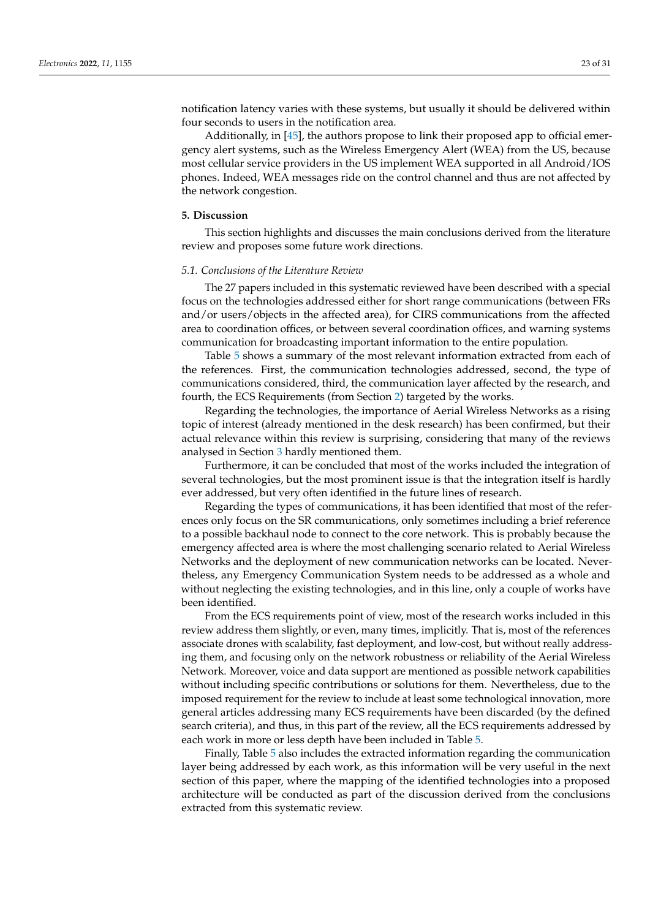notification latency varies with these systems, but usually it should be delivered within four seconds to users in the notification area.

Additionally, in [\[45\]](#page-29-46), the authors propose to link their proposed app to official emergency alert systems, such as the Wireless Emergency Alert (WEA) from the US, because most cellular service providers in the US implement WEA supported in all Android/IOS phones. Indeed, WEA messages ride on the control channel and thus are not affected by the network congestion.

#### <span id="page-22-0"></span>**5. Discussion**

This section highlights and discusses the main conclusions derived from the literature review and proposes some future work directions.

#### *5.1. Conclusions of the Literature Review*

The 27 papers included in this systematic reviewed have been described with a special focus on the technologies addressed either for short range communications (between FRs and/or users/objects in the affected area), for CIRS communications from the affected area to coordination offices, or between several coordination offices, and warning systems communication for broadcasting important information to the entire population.

Table [5](#page-25-0) shows a summary of the most relevant information extracted from each of the references. First, the communication technologies addressed, second, the type of communications considered, third, the communication layer affected by the research, and fourth, the ECS Requirements (from Section [2\)](#page-1-0) targeted by the works.

Regarding the technologies, the importance of Aerial Wireless Networks as a rising topic of interest (already mentioned in the desk research) has been confirmed, but their actual relevance within this review is surprising, considering that many of the reviews analysed in Section [3](#page-4-0) hardly mentioned them.

Furthermore, it can be concluded that most of the works included the integration of several technologies, but the most prominent issue is that the integration itself is hardly ever addressed, but very often identified in the future lines of research.

Regarding the types of communications, it has been identified that most of the references only focus on the SR communications, only sometimes including a brief reference to a possible backhaul node to connect to the core network. This is probably because the emergency affected area is where the most challenging scenario related to Aerial Wireless Networks and the deployment of new communication networks can be located. Nevertheless, any Emergency Communication System needs to be addressed as a whole and without neglecting the existing technologies, and in this line, only a couple of works have been identified.

From the ECS requirements point of view, most of the research works included in this review address them slightly, or even, many times, implicitly. That is, most of the references associate drones with scalability, fast deployment, and low-cost, but without really addressing them, and focusing only on the network robustness or reliability of the Aerial Wireless Network. Moreover, voice and data support are mentioned as possible network capabilities without including specific contributions or solutions for them. Nevertheless, due to the imposed requirement for the review to include at least some technological innovation, more general articles addressing many ECS requirements have been discarded (by the defined search criteria), and thus, in this part of the review, all the ECS requirements addressed by each work in more or less depth have been included in Table [5.](#page-25-0)

Finally, Table [5](#page-25-0) also includes the extracted information regarding the communication layer being addressed by each work, as this information will be very useful in the next section of this paper, where the mapping of the identified technologies into a proposed architecture will be conducted as part of the discussion derived from the conclusions extracted from this systematic review.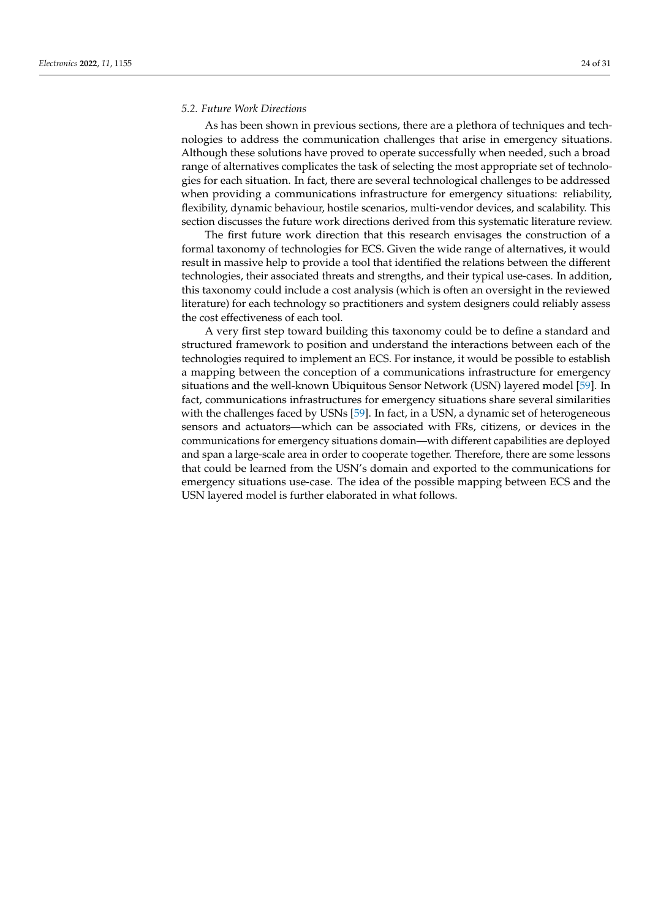### *5.2. Future Work Directions*

As has been shown in previous sections, there are a plethora of techniques and technologies to address the communication challenges that arise in emergency situations. Although these solutions have proved to operate successfully when needed, such a broad range of alternatives complicates the task of selecting the most appropriate set of technologies for each situation. In fact, there are several technological challenges to be addressed when providing a communications infrastructure for emergency situations: reliability, flexibility, dynamic behaviour, hostile scenarios, multi-vendor devices, and scalability. This section discusses the future work directions derived from this systematic literature review.

The first future work direction that this research envisages the construction of a formal taxonomy of technologies for ECS. Given the wide range of alternatives, it would result in massive help to provide a tool that identified the relations between the different technologies, their associated threats and strengths, and their typical use-cases. In addition, this taxonomy could include a cost analysis (which is often an oversight in the reviewed literature) for each technology so practitioners and system designers could reliably assess the cost effectiveness of each tool.

A very first step toward building this taxonomy could be to define a standard and structured framework to position and understand the interactions between each of the technologies required to implement an ECS. For instance, it would be possible to establish a mapping between the conception of a communications infrastructure for emergency situations and the well-known Ubiquitous Sensor Network (USN) layered model [\[59\]](#page-30-6). In fact, communications infrastructures for emergency situations share several similarities with the challenges faced by USNs [\[59\]](#page-30-6). In fact, in a USN, a dynamic set of heterogeneous sensors and actuators—which can be associated with FRs, citizens, or devices in the communications for emergency situations domain—with different capabilities are deployed and span a large-scale area in order to cooperate together. Therefore, there are some lessons that could be learned from the USN's domain and exported to the communications for emergency situations use-case. The idea of the possible mapping between ECS and the USN layered model is further elaborated in what follows.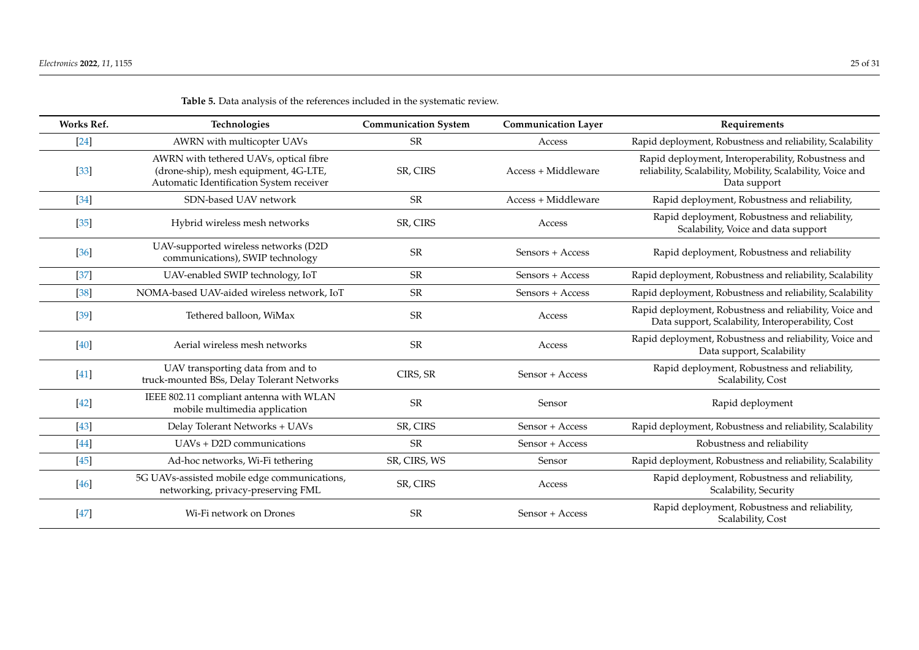[\[46\]](#page-29-16)

5G UAVs-assisted mobile edge communications,

| Works Ref. | Technologies                                                                                                                | <b>Communication System</b> | <b>Communication Layer</b> | Requirements                                                                                                                     |
|------------|-----------------------------------------------------------------------------------------------------------------------------|-----------------------------|----------------------------|----------------------------------------------------------------------------------------------------------------------------------|
| $[24]$     | AWRN with multicopter UAVs                                                                                                  | <b>SR</b>                   | Access                     | Rapid deployment, Robustness and reliability, Scalability                                                                        |
| $[33]$     | AWRN with tethered UAVs, optical fibre<br>(drone-ship), mesh equipment, 4G-LTE,<br>Automatic Identification System receiver | SR, CIRS                    | Access + Middleware        | Rapid deployment, Interoperability, Robustness and<br>reliability, Scalability, Mobility, Scalability, Voice and<br>Data support |
| $[34]$     | SDN-based UAV network                                                                                                       | <b>SR</b>                   | Access + Middleware        | Rapid deployment, Robustness and reliability,                                                                                    |
| $[35]$     | Hybrid wireless mesh networks                                                                                               | SR, CIRS                    | Access                     | Rapid deployment, Robustness and reliability,<br>Scalability, Voice and data support                                             |
| $[36]$     | UAV-supported wireless networks (D2D<br>communications), SWIP technology                                                    | <b>SR</b>                   | Sensors + Access           | Rapid deployment, Robustness and reliability                                                                                     |
| $[37]$     | UAV-enabled SWIP technology, IoT                                                                                            | <b>SR</b>                   | Sensors + Access           | Rapid deployment, Robustness and reliability, Scalability                                                                        |
| $[38]$     | NOMA-based UAV-aided wireless network, IoT                                                                                  | <b>SR</b>                   | Sensors + Access           | Rapid deployment, Robustness and reliability, Scalability                                                                        |
| $[39]$     | Tethered balloon, WiMax                                                                                                     | <b>SR</b>                   | Access                     | Rapid deployment, Robustness and reliability, Voice and<br>Data support, Scalability, Interoperability, Cost                     |
| [40]       | Aerial wireless mesh networks                                                                                               | <b>SR</b>                   | Access                     | Rapid deployment, Robustness and reliability, Voice and<br>Data support, Scalability                                             |
| $[41]$     | UAV transporting data from and to<br>truck-mounted BSs, Delay Tolerant Networks                                             | CIRS, SR                    | Sensor + Access            | Rapid deployment, Robustness and reliability,<br>Scalability, Cost                                                               |
| $[42]$     | IEEE 802.11 compliant antenna with WLAN<br>mobile multimedia application                                                    | <b>SR</b>                   | Sensor                     | Rapid deployment                                                                                                                 |
| $[43]$     | Delay Tolerant Networks + UAVs                                                                                              | SR, CIRS                    | Sensor + Access            | Rapid deployment, Robustness and reliability, Scalability                                                                        |
| [44]       | $UAVs + D2D$ communications                                                                                                 | <b>SR</b>                   | Sensor + Access            | Robustness and reliability                                                                                                       |

[\[45\]](#page-29-15) Ad-hoc networks, Wi-Fi tethering SR, CIRS, WS Sensor Rapid deployment, Robustness and reliability, Scalability

[\[47\]](#page-29-17) Wi-Fi network on Drones SR Sensor + Access Rapid deployment, Robustness and reliability,

IAVs-assisted mobile edge communications, SR, CIRS SR, CIRS Access Rapid deployment, Robustness and reliability, networking, privacy-preserving FML SR, CIRS Security

**Table 5.** Data analysis of the references included in the systematic review.

Scalability, Security

Scalability, Cost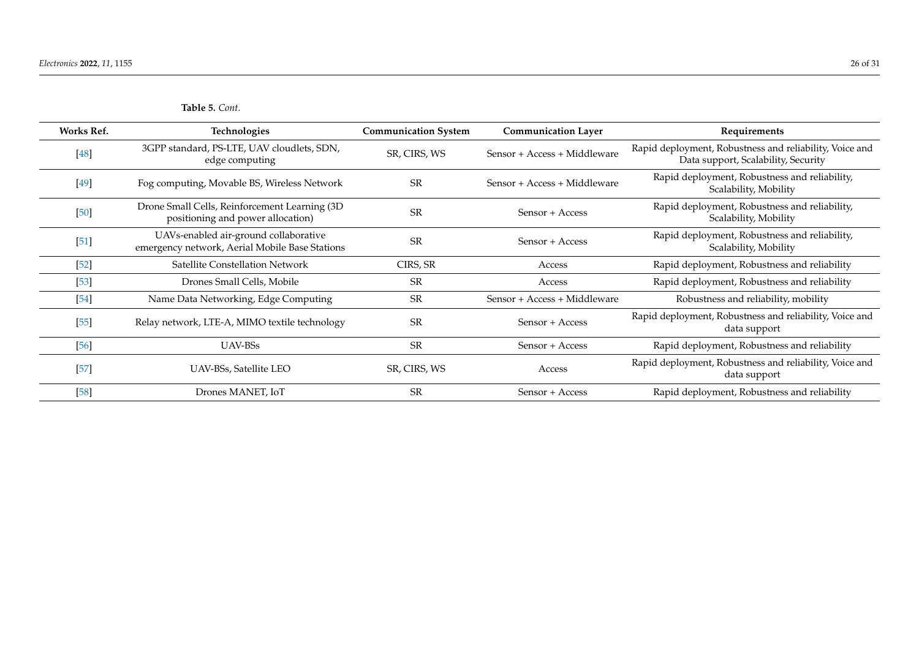| Table 5. Cont. |  |
|----------------|--|
|                |  |

<span id="page-25-0"></span>

| Works Ref. | Technologies                                                                            | <b>Communication System</b> | <b>Communication Layer</b>   | Requirements                                                                                   |
|------------|-----------------------------------------------------------------------------------------|-----------------------------|------------------------------|------------------------------------------------------------------------------------------------|
| $[48]$     | 3GPP standard, PS-LTE, UAV cloudlets, SDN,<br>edge computing                            | SR, CIRS, WS                | Sensor + Access + Middleware | Rapid deployment, Robustness and reliability, Voice and<br>Data support, Scalability, Security |
| $[49]$     | Fog computing, Movable BS, Wireless Network                                             | <b>SR</b>                   | Sensor + Access + Middleware | Rapid deployment, Robustness and reliability,<br>Scalability, Mobility                         |
| $[50]$     | Drone Small Cells, Reinforcement Learning (3D)<br>positioning and power allocation)     | <b>SR</b>                   | Sensor + Access              | Rapid deployment, Robustness and reliability,<br>Scalability, Mobility                         |
| $[51]$     | UAVs-enabled air-ground collaborative<br>emergency network, Aerial Mobile Base Stations | <b>SR</b>                   | Sensor + Access              | Rapid deployment, Robustness and reliability,<br>Scalability, Mobility                         |
| $[52]$     | <b>Satellite Constellation Network</b>                                                  | CIRS, SR                    | Access                       | Rapid deployment, Robustness and reliability                                                   |
| $[53]$     | Drones Small Cells, Mobile                                                              | <b>SR</b>                   | Access                       | Rapid deployment, Robustness and reliability                                                   |
| $[54]$     | Name Data Networking, Edge Computing                                                    | <b>SR</b>                   | Sensor + Access + Middleware | Robustness and reliability, mobility                                                           |
| $[55]$     | Relay network, LTE-A, MIMO textile technology                                           | <b>SR</b>                   | Sensor + Access              | Rapid deployment, Robustness and reliability, Voice and<br>data support                        |
| [56]       | UAV-BSs                                                                                 | <b>SR</b>                   | Sensor + Access              | Rapid deployment, Robustness and reliability                                                   |
| [57]       | UAV-BSs, Satellite LEO                                                                  | SR, CIRS, WS                | Access                       | Rapid deployment, Robustness and reliability, Voice and<br>data support                        |
| [58]       | Drones MANET, IoT                                                                       | <b>SR</b>                   | Sensor + Access              | Rapid deployment, Robustness and reliability                                                   |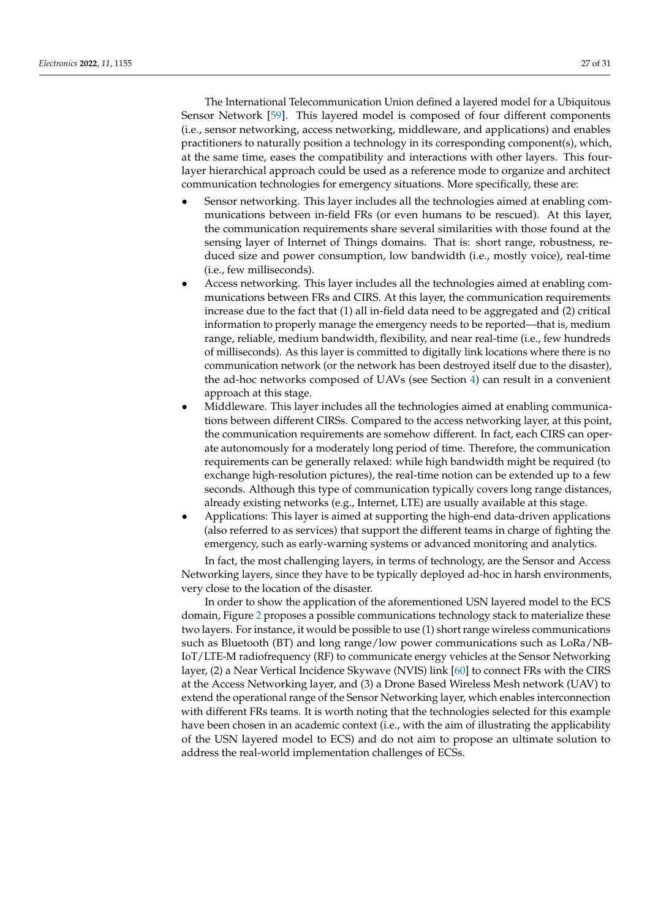The International Telecommunication Union defined a layered model for a Ubiquitous Sensor Network [\[59\]](#page-30-6). This layered model is composed of four different components (i.e., sensor networking, access networking, middleware, and applications) and enables practitioners to naturally position a technology in its corresponding component(s), which, at the same time, eases the compatibility and interactions with other layers. This fourlayer hierarchical approach could be used as a reference mode to organize and architect communication technologies for emergency situations. More specifically, these are:

- Sensor networking. This layer includes all the technologies aimed at enabling communications between in-field FRs (or even humans to be rescued). At this layer, the communication requirements share several similarities with those found at the sensing layer of Internet of Things domains. That is: short range, robustness, reduced size and power consumption, low bandwidth (i.e., mostly voice), real-time (i.e., few milliseconds).
- Access networking. This layer includes all the technologies aimed at enabling communications between FRs and CIRS. At this layer, the communication requirements increase due to the fact that (1) all in-field data need to be aggregated and (2) critical information to properly manage the emergency needs to be reported—that is, medium range, reliable, medium bandwidth, flexibility, and near real-time (i.e., few hundreds of milliseconds). As this layer is committed to digitally link locations where there is no communication network (or the network has been destroyed itself due to the disaster), the ad-hoc networks composed of UAVs (see Section [4\)](#page-10-0) can result in a convenient approach at this stage.
- Middleware. This layer includes all the technologies aimed at enabling communications between different CIRSs. Compared to the access networking layer, at this point, the communication requirements are somehow different. In fact, each CIRS can operate autonomously for a moderately long period of time. Therefore, the communication requirements can be generally relaxed: while high bandwidth might be required (to exchange high-resolution pictures), the real-time notion can be extended up to a few seconds. Although this type of communication typically covers long range distances, already existing networks (e.g., Internet, LTE) are usually available at this stage.
- Applications: This layer is aimed at supporting the high-end data-driven applications (also referred to as services) that support the different teams in charge of fighting the emergency, such as early-warning systems or advanced monitoring and analytics.

In fact, the most challenging layers, in terms of technology, are the Sensor and Access Networking layers, since they have to be typically deployed ad-hoc in harsh environments, very close to the location of the disaster.

In order to show the application of the aforementioned USN layered model to the ECS domain, Figure [2](#page-27-0) proposes a possible communications technology stack to materialize these two layers. For instance, it would be possible to use (1) short range wireless communications such as Bluetooth (BT) and long range/low power communications such as LoRa/NB-IoT/LTE-M radiofrequency (RF) to communicate energy vehicles at the Sensor Networking layer, (2) a Near Vertical Incidence Skywave (NVIS) link [\[60\]](#page-30-7) to connect FRs with the CIRS at the Access Networking layer, and (3) a Drone Based Wireless Mesh network (UAV) to extend the operational range of the Sensor Networking layer, which enables interconnection with different FRs teams. It is worth noting that the technologies selected for this example have been chosen in an academic context (i.e., with the aim of illustrating the applicability of the USN layered model to ECS) and do not aim to propose an ultimate solution to address the real-world implementation challenges of ECSs.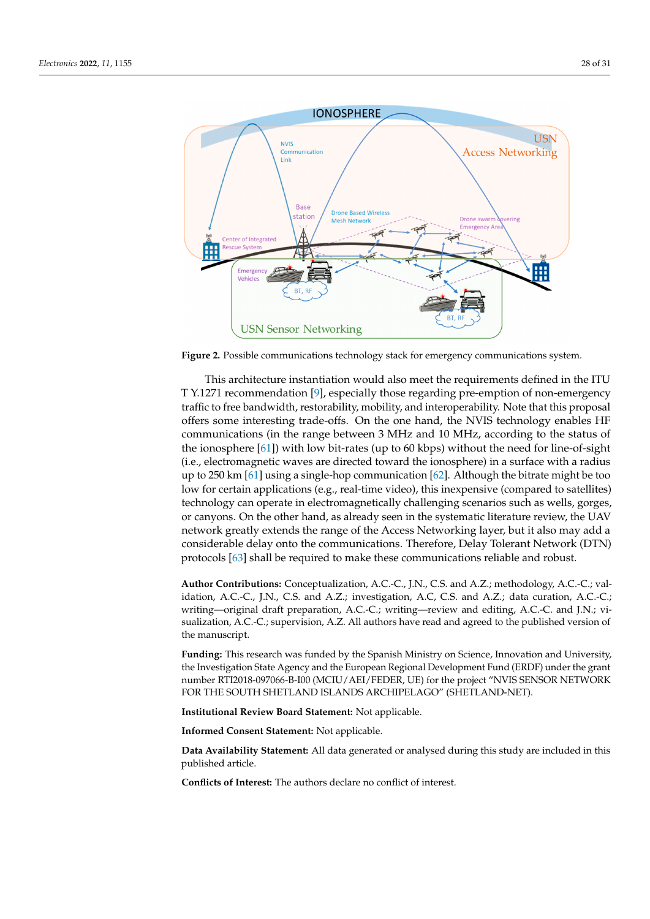<span id="page-27-0"></span>

**Figure 2.** Possible communications technology stack for emergency communications system. **Figure 2.** Possible communications technology stack for emergency communications system.

This architecture instantiation would also meet the requirements defined in the ITU This architecture instantiation would also meet the requirements defined in the ITU T Y.1271 recommendation [9], especially those regarding pre-emption of non-emergency T Y.1271 recommendation [\[9\]](#page-28-7), especially those regarding pre-emption of non-emergency traffic to free bandwidth, restorability, mobility, and interoperability. Note that this proposal offers some interesting trade-offs. On the one hand, the NVIS technology enables HF HF communications (in the range between 3 MHz and 10 MHz, according to the status of communications (in the range between 3 MHz and 10 MHz, according to the status of the ionosphere  $[61]$ ) with low bit-rates (up to  $60$  kbps) without the need for line-of-sight (i.e., electromagnetic waves are directed toward the ionosphere) in a surface with a radius (i.e., electromagnetic waves are directed toward the ionosphere) in a surface with a radius up to 250 km [61] using a single-hop communication [62]. Although the bitrate might be up to 250 km [\[61\]](#page-30-8) using a single-hop communication [\[62\]](#page-30-9). Although the bitrate might be too low for certain applications (e.g., real-time video), this inexpensive (compared to satellites) technology can operate in electromagnetically challenging scenarios such as wells, gorges, or canyons. On the other hand, as already seen in the systematic literature review, the UAV network greatly extends the range of the Access Networking layer, but it also may add a<br>in also had a later the range of the Access Networking layer, but it also may add a considerable delay onto the communications. Therefore, Delay Tolerant Network (DTN)<br> protocols [\[63\]](#page-30-10) shall be required to make these communications reliable and robust.

Author Contributions: Conceptualization, A.C.-C., J.N., C.S. and A.Z.; methodology, A.C.-C.; valwriting—original draft preparation, A.C.-C.; writing—review and editing, A.C.-C. and J.N.; vi- $\frac{1}{2}$  idea is a construction, A.C. C.; supermision, A.Z.; All suttors have reed and acrosed to the published version of sualization, A.C.-C.; supervision, A.Z. All authors have read and agreed to the published version of<br>the manuscript  $\frac{1}{\sqrt{2}}$ . idation, A.C.-C., J.N., C.S. and A.Z.; investigation, A.C, C.S. and A.Z.; data curation, A.C.-C.; the manuscript.

**Funding:** This research was funded by the Spanish Ministry on Science, Innovation and University, **Funding:** This research was funded by the Spanish Ministry on Science, Innovation and University, number RTI2018-097066-B-I00 (MCIU/AEI/FEDER, UE) for the project "NVIS SENSOR NETWORK the Investigation State Agency and the European Regional Development Fund (ERDF) under The EQUESTI AND CELEBRATION (ELEBR) AND  $\overline{E}$ FOR THE SOUTH SHETLAND ISLANDS ARCHIPELAGO" (SHETLAND-NET). the Investigation State Agency and the European Regional Development Fund (ERDF) under the grant

**Institutional Review Board Statement:** Not applicable.

**Informed Consent Statement:** Not applicable.

Data Availability Statement: All data generated or analysed during this study are included in this **Data Availability Statement:**  $\mathbf{A}$ published article.

Conflicts of Interest: The authors declare no conflict of interest.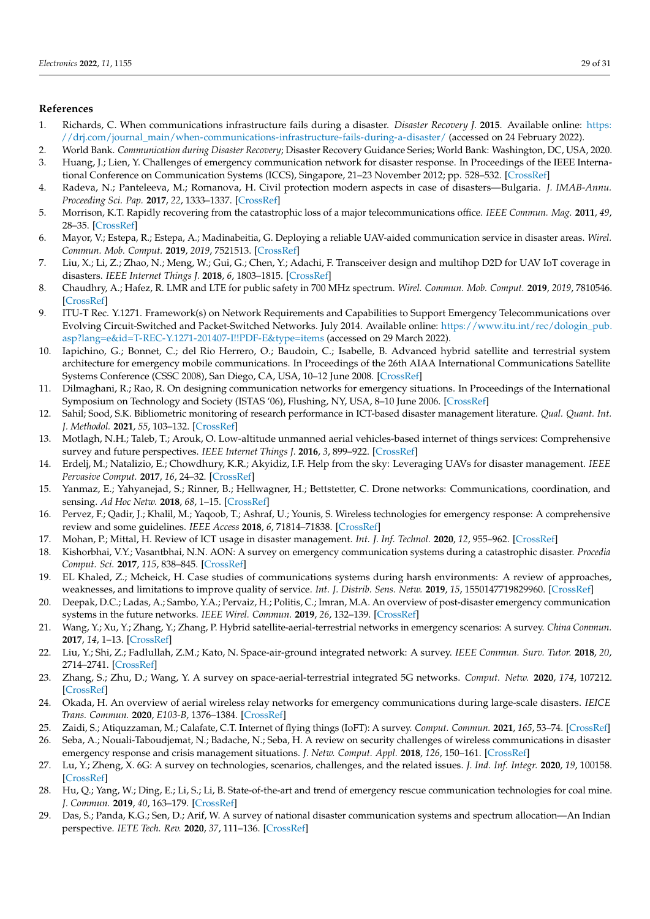### **References**

- <span id="page-28-0"></span>1. Richards, C. When communications infrastructure fails during a disaster. *Disaster Recovery J.* **2015**. Available online: [https:](https://drj.com/journal_main/when-communications-infrastructure-fails-during-a-disaster/) [//drj.com/journal\\_main/when-communications-infrastructure-fails-during-a-disaster/](https://drj.com/journal_main/when-communications-infrastructure-fails-during-a-disaster/) (accessed on 24 February 2022).
- <span id="page-28-1"></span>2. World Bank. *Communication during Disaster Recovery*; Disaster Recovery Guidance Series; World Bank: Washington, DC, USA, 2020.
- <span id="page-28-2"></span>3. Huang, J.; Lien, Y. Challenges of emergency communication network for disaster response. In Proceedings of the IEEE International Conference on Communication Systems (ICCS), Singapore, 21–23 November 2012; pp. 528–532. [\[CrossRef\]](http://doi.org/10.1109/ICCS.2012.6406204)
- <span id="page-28-3"></span>4. Radeva, N.; Panteleeva, M.; Romanova, H. Civil protection modern aspects in case of disasters—Bulgaria. *J. IMAB-Annu. Proceeding Sci. Pap.* **2017**, *22*, 1333–1337. [\[CrossRef\]](http://doi.org/10.5272/jimab.2016224.1333)
- <span id="page-28-4"></span>5. Morrison, K.T. Rapidly recovering from the catastrophic loss of a major telecommunications office. *IEEE Commun. Mag.* **2011**, *49*, 28–35. [\[CrossRef\]](http://doi.org/10.1109/MCOM.2011.5681011)
- <span id="page-28-27"></span>6. Mayor, V.; Estepa, R.; Estepa, A.; Madinabeitia, G. Deploying a reliable UAV-aided communication service in disaster areas. *Wirel. Commun. Mob. Comput.* **2019**, *2019*, 7521513. [\[CrossRef\]](http://doi.org/10.1155/2019/7521513)
- <span id="page-28-28"></span><span id="page-28-5"></span>7. Liu, X.; Li, Z.; Zhao, N.; Meng, W.; Gui, G.; Chen, Y.; Adachi, F. Transceiver design and multihop D2D for UAV IoT coverage in disasters. *IEEE Internet Things J.* **2018**, *6*, 1803–1815. [\[CrossRef\]](http://doi.org/10.1109/JIOT.2018.2877504)
- <span id="page-28-30"></span><span id="page-28-6"></span>8. Chaudhry, A.; Hafez, R. LMR and LTE for public safety in 700 MHz spectrum. *Wirel. Commun. Mob. Comput.* **2019**, *2019*, 7810546. [\[CrossRef\]](http://doi.org/10.1155/2019/7810546)
- <span id="page-28-31"></span><span id="page-28-29"></span><span id="page-28-7"></span>9. ITU-T Rec. Y.1271. Framework(s) on Network Requirements and Capabilities to Support Emergency Telecommunications over Evolving Circuit-Switched and Packet-Switched Networks. July 2014. Available online: [https://www.itu.int/rec/dologin\\_pub.](https://www.itu.int/rec/dologin_pub.asp?lang=e&id=T-REC-Y.1271-201407-I!!PDF-E&type=items) [asp?lang=e&id=T-REC-Y.1271-201407-I!!PDF-E&type=items](https://www.itu.int/rec/dologin_pub.asp?lang=e&id=T-REC-Y.1271-201407-I!!PDF-E&type=items) (accessed on 29 March 2022).
- <span id="page-28-32"></span><span id="page-28-8"></span>10. Iapichino, G.; Bonnet, C.; del Rio Herrero, O.; Baudoin, C.; Isabelle, B. Advanced hybrid satellite and terrestrial system architecture for emergency mobile communications. In Proceedings of the 26th AIAA International Communications Satellite Systems Conference (CSSC 2008), San Diego, CA, USA, 10–12 June 2008. [\[CrossRef\]](http://doi.org/10.2514/6.2008-5505)
- <span id="page-28-33"></span><span id="page-28-9"></span>11. Dilmaghani, R.; Rao, R. On designing communication networks for emergency situations. In Proceedings of the International Symposium on Technology and Society (ISTAS '06), Flushing, NY, USA, 8–10 June 2006. [\[CrossRef\]](http://doi.org/10.1109/ISTAS.2006.4375882)
- <span id="page-28-34"></span><span id="page-28-10"></span>12. Sahil; Sood, S.K. Bibliometric monitoring of research performance in ICT-based disaster management literature. *Qual. Quant. Int. J. Methodol.* **2021**, *55*, 103–132. [\[CrossRef\]](http://doi.org/10.1007/s11135-020-00991-x)
- <span id="page-28-35"></span><span id="page-28-11"></span>13. Motlagh, N.H.; Taleb, T.; Arouk, O. Low-altitude unmanned aerial vehicles-based internet of things services: Comprehensive survey and future perspectives. *IEEE Internet Things J.* **2016**, *3*, 899–922. [\[CrossRef\]](http://doi.org/10.1109/JIOT.2016.2612119)
- <span id="page-28-37"></span><span id="page-28-36"></span>14. Erdelj, M.; Natalizio, E.; Chowdhury, K.R.; Akyidiz, I.F. Help from the sky: Leveraging UAVs for disaster management. *IEEE Pervasive Comput.* **2017**, *16*, 24–32. [\[CrossRef\]](http://doi.org/10.1109/MPRV.2017.11)
- <span id="page-28-12"></span>15. Yanmaz, E.; Yahyanejad, S.; Rinner, B.; Hellwagner, H.; Bettstetter, C. Drone networks: Communications, coordination, and sensing. *Ad Hoc Netw.* **2018**, *68*, 1–15. [\[CrossRef\]](http://doi.org/10.1016/j.adhoc.2017.09.001)
- <span id="page-28-13"></span>16. Pervez, F.; Qadir, J.; Khalil, M.; Yaqoob, T.; Ashraf, U.; Younis, S. Wireless technologies for emergency response: A comprehensive review and some guidelines. *IEEE Access* **2018**, *6*, 71814–71838. [\[CrossRef\]](http://doi.org/10.1109/ACCESS.2018.2878898)
- <span id="page-28-14"></span>17. Mohan, P.; Mittal, H. Review of ICT usage in disaster management. *Int. J. Inf. Technol.* **2020**, *12*, 955–962. [\[CrossRef\]](http://doi.org/10.1007/s41870-020-00468-y)
- <span id="page-28-15"></span>18. Kishorbhai, V.Y.; Vasantbhai, N.N. AON: A survey on emergency communication systems during a catastrophic disaster. *Procedia Comput. Sci.* **2017**, *115*, 838–845. [\[CrossRef\]](http://doi.org/10.1016/j.procs.2017.09.166)
- <span id="page-28-16"></span>19. EL Khaled, Z.; Mcheick, H. Case studies of communications systems during harsh environments: A review of approaches, weaknesses, and limitations to improve quality of service. *Int. J. Distrib. Sens. Netw.* **2019**, *15*, 1550147719829960. [\[CrossRef\]](http://doi.org/10.1177/1550147719829960)
- <span id="page-28-17"></span>20. Deepak, D.C.; Ladas, A.; Sambo, Y.A.; Pervaiz, H.; Politis, C.; Imran, M.A. An overview of post-disaster emergency communication systems in the future networks. *IEEE Wirel. Commun.* **2019**, *26*, 132–139. [\[CrossRef\]](http://doi.org/10.1109/MWC.2019.1800467)
- <span id="page-28-18"></span>21. Wang, Y.; Xu, Y.; Zhang, Y.; Zhang, P. Hybrid satellite-aerial-terrestrial networks in emergency scenarios: A survey. *China Commun.* **2017**, *14*, 1–13. [\[CrossRef\]](http://doi.org/10.1109/CC.2017.8010971)
- <span id="page-28-20"></span>22. Liu, Y.; Shi, Z.; Fadlullah, Z.M.; Kato, N. Space-air-ground integrated network: A survey. *IEEE Commun. Surv. Tutor.* **2018**, *20*, 2714–2741. [\[CrossRef\]](http://doi.org/10.1109/COMST.2018.2841996)
- <span id="page-28-19"></span>23. Zhang, S.; Zhu, D.; Wang, Y. A survey on space-aerial-terrestrial integrated 5G networks. *Comput. Netw.* **2020**, *174*, 107212. [\[CrossRef\]](http://doi.org/10.1016/j.comnet.2020.107212)
- <span id="page-28-21"></span>24. Okada, H. An overview of aerial wireless relay networks for emergency communications during large-scale disasters. *IEICE Trans. Commun.* **2020**, *E103-B*, 1376–1384. [\[CrossRef\]](http://doi.org/10.1587/transcom.2020SEI0001)
- <span id="page-28-22"></span>25. Zaidi, S.; Atiquzzaman, M.; Calafate, C.T. Internet of flying things (IoFT): A survey. *Comput. Commun.* **2021**, *165*, 53–74. [\[CrossRef\]](http://doi.org/10.1016/j.comcom.2020.10.023)
- <span id="page-28-23"></span>26. Seba, A.; Nouali-Taboudjemat, N.; Badache, N.; Seba, H. A review on security challenges of wireless communications in disaster emergency response and crisis management situations. *J. Netw. Comput. Appl.* **2018**, *126*, 150–161. [\[CrossRef\]](http://doi.org/10.1016/j.jnca.2018.11.010)
- <span id="page-28-24"></span>27. Lu, Y.; Zheng, X. 6G: A survey on technologies, scenarios, challenges, and the related issues. *J. Ind. Inf. Integr.* **2020**, *19*, 100158. [\[CrossRef\]](http://doi.org/10.1016/j.jii.2020.100158)
- <span id="page-28-25"></span>28. Hu, Q.; Yang, W.; Ding, E.; Li, S.; Li, B. State-of-the-art and trend of emergency rescue communication technologies for coal mine. *J. Commun.* **2019**, *40*, 163–179. [\[CrossRef\]](http://doi.org/10.11959/j.issn.1000-436x.2019123)
- <span id="page-28-26"></span>29. Das, S.; Panda, K.G.; Sen, D.; Arif, W. A survey of national disaster communication systems and spectrum allocation—An Indian perspective. *IETE Tech. Rev.* **2020**, *37*, 111–136. [\[CrossRef\]](http://doi.org/10.1080/02564602.2019.1566030)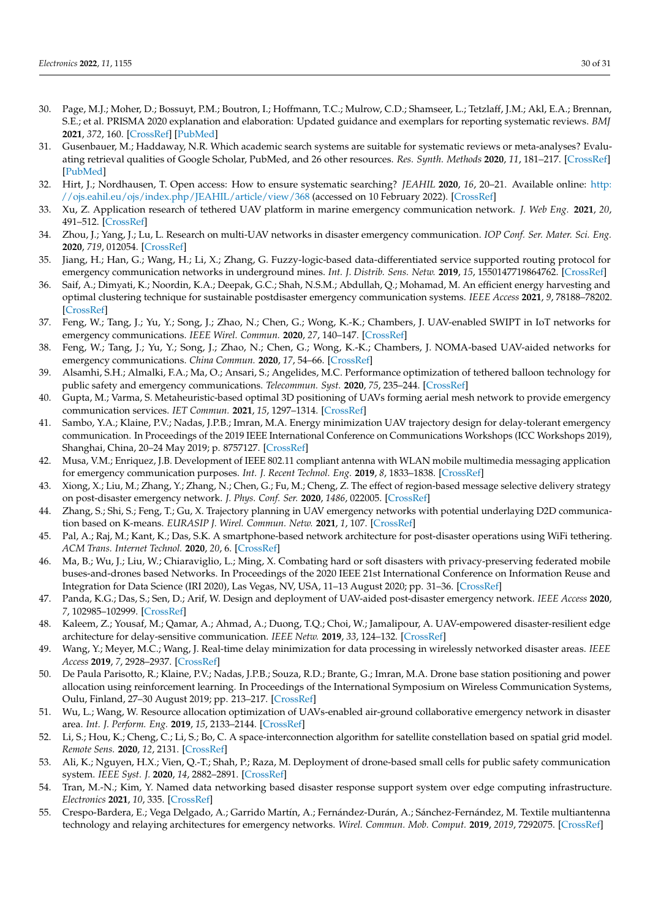- <span id="page-29-10"></span><span id="page-29-9"></span><span id="page-29-8"></span><span id="page-29-7"></span><span id="page-29-6"></span><span id="page-29-5"></span><span id="page-29-4"></span><span id="page-29-3"></span><span id="page-29-0"></span>30. Page, M.J.; Moher, D.; Bossuyt, P.M.; Boutron, I.; Hoffmann, T.C.; Mulrow, C.D.; Shamseer, L.; Tetzlaff, J.M.; Akl, E.A.; Brennan, S.E.; et al. PRISMA 2020 explanation and elaboration: Updated guidance and exemplars for reporting systematic reviews. *BMJ* **2021**, *372*, 160. [\[CrossRef\]](http://doi.org/10.1136/bmj.n160) [\[PubMed\]](http://www.ncbi.nlm.nih.gov/pubmed/33781993)
- <span id="page-29-11"></span><span id="page-29-1"></span>31. Gusenbauer, M.; Haddaway, N.R. Which academic search systems are suitable for systematic reviews or meta-analyses? Evaluating retrieval qualities of Google Scholar, PubMed, and 26 other resources. *Res. Synth. Methods* **2020**, *11*, 181–217. [\[CrossRef\]](http://doi.org/10.1002/jrsm.1378) [\[PubMed\]](http://www.ncbi.nlm.nih.gov/pubmed/31614060)
- <span id="page-29-12"></span><span id="page-29-2"></span>32. Hirt, J.; Nordhausen, T. Open access: How to ensure systematic searching? *JEAHIL* **2020**, *16*, 20–21. Available online: [http:](http://ojs.eahil.eu/ojs/index.php/JEAHIL/article/view/368) [//ojs.eahil.eu/ojs/index.php/JEAHIL/article/view/368](http://ojs.eahil.eu/ojs/index.php/JEAHIL/article/view/368) (accessed on 10 February 2022). [\[CrossRef\]](http://doi.org/10.32384/jeahil16368)
- <span id="page-29-37"></span><span id="page-29-13"></span>33. Xu, Z. Application research of tethered UAV platform in marine emergency communication network. *J. Web Eng.* **2021**, *20*, 491–512. [\[CrossRef\]](http://doi.org/10.13052/jwe1540-9589.20212)
- <span id="page-29-33"></span><span id="page-29-14"></span>34. Zhou, J.; Yang, J.; Lu, L. Research on multi-UAV networks in disaster emergency communication. *IOP Conf. Ser. Mater. Sci. Eng.* **2020**, *719*, 012054. [\[CrossRef\]](http://doi.org/10.1088/1757-899X/719/1/012054)
- <span id="page-29-43"></span><span id="page-29-15"></span>35. Jiang, H.; Han, G.; Wang, H.; Li, X.; Zhang, G. Fuzzy-logic-based data-differentiated service supported routing protocol for emergency communication networks in underground mines. *Int. J. Distrib. Sens. Netw.* **2019**, *15*, 1550147719864762. [\[CrossRef\]](http://doi.org/10.1177/1550147719864762)
- <span id="page-29-36"></span><span id="page-29-16"></span>36. Saif, A.; Dimyati, K.; Noordin, K.A.; Deepak, G.C.; Shah, N.S.M.; Abdullah, Q.; Mohamad, M. An efficient energy harvesting and optimal clustering technique for sustainable postdisaster emergency communication systems. *IEEE Access* **2021**, *9*, 78188–78202. [\[CrossRef\]](http://doi.org/10.1109/ACCESS.2021.3083640)
- <span id="page-29-35"></span><span id="page-29-17"></span>37. Feng, W.; Tang, J.; Yu, Y.; Song, J.; Zhao, N.; Chen, G.; Wong, K.-K.; Chambers, J. UAV-enabled SWIPT in IoT networks for emergency communications. *IEEE Wirel. Commun.* **2020**, *27*, 140–147. [\[CrossRef\]](http://doi.org/10.1109/MWC.001.1900656)
- <span id="page-29-34"></span><span id="page-29-18"></span>38. Feng, W.; Tang, J.; Yu, Y.; Song, J.; Zhao, N.; Chen, G.; Wong, K.-K.; Chambers, J. NOMA-based UAV-aided networks for emergency communications. *China Commun.* **2020**, *17*, 54–66. [\[CrossRef\]](http://doi.org/10.23919/JCC.2020.11.005)
- <span id="page-29-41"></span><span id="page-29-19"></span>39. Alsamhi, S.H.; Almalki, F.A.; Ma, O.; Ansari, S.; Angelides, M.C. Performance optimization of tethered balloon technology for public safety and emergency communications. *Telecommun. Syst.* **2020**, *75*, 235–244. [\[CrossRef\]](http://doi.org/10.1007/s11235-019-00580-w)
- <span id="page-29-30"></span><span id="page-29-20"></span>40. Gupta, M.; Varma, S. Metaheuristic-based optimal 3D positioning of UAVs forming aerial mesh network to provide emergency communication services. *IET Commun.* **2021**, *15*, 1297–1314. [\[CrossRef\]](http://doi.org/10.1049/cmu2.12112)
- <span id="page-29-27"></span><span id="page-29-21"></span>41. Sambo, Y.A.; Klaine, P.V.; Nadas, J.P.B.; Imran, M.A. Energy minimization UAV trajectory design for delay-tolerant emergency communication. In Proceedings of the 2019 IEEE International Conference on Communications Workshops (ICC Workshops 2019), Shanghai, China, 20–24 May 2019; p. 8757127. [\[CrossRef\]](http://doi.org/10.1109/ICCW.2019.8757127)
- <span id="page-29-45"></span><span id="page-29-22"></span>42. Musa, V.M.; Enriquez, J.B. Development of IEEE 802.11 compliant antenna with WLAN mobile multimedia messaging application for emergency communication purposes. *Int. J. Recent Technol. Eng.* **2019**, *8*, 1833–1838. [\[CrossRef\]](http://doi.org/10.35940/ijrte.B1029.078219)
- <span id="page-29-28"></span><span id="page-29-23"></span>43. Xiong, X.; Liu, M.; Zhang, Y.; Zhang, N.; Chen, G.; Fu, M.; Cheng, Z. The effect of region-based message selective delivery strategy on post-disaster emergency network. *J. Phys. Conf. Ser.* **2020**, *1486*, 022005. [\[CrossRef\]](http://doi.org/10.1088/1742-6596/1486/2/022005)
- <span id="page-29-26"></span><span id="page-29-24"></span>44. Zhang, S.; Shi, S.; Feng, T.; Gu, X. Trajectory planning in UAV emergency networks with potential underlaying D2D communication based on K-means. *EURASIP J. Wirel. Commun. Netw.* **2021**, *1*, 107. [\[CrossRef\]](http://doi.org/10.1186/s13638-021-01987-3)
- <span id="page-29-46"></span><span id="page-29-25"></span>45. Pal, A.; Raj, M.; Kant, K.; Das, S.K. A smartphone-based network architecture for post-disaster operations using WiFi tethering. *ACM Trans. Internet Technol.* **2020**, *20*, 6. [\[CrossRef\]](http://doi.org/10.1145/3372145)
- <span id="page-29-40"></span>46. Ma, B.; Wu, J.; Liu, W.; Chiaraviglio, L.; Ming, X. Combating hard or soft disasters with privacy-preserving federated mobile buses-and-drones based Networks. In Proceedings of the 2020 IEEE 21st International Conference on Information Reuse and Integration for Data Science (IRI 2020), Las Vegas, NV, USA, 11–13 August 2020; pp. 31–36. [\[CrossRef\]](http://doi.org/10.1109/IRI49571.2020.00013)
- 47. Panda, K.G.; Das, S.; Sen, D.; Arif, W. Design and deployment of UAV-aided post-disaster emergency network. *IEEE Access* **2020**, *7*, 102985–102999. [\[CrossRef\]](http://doi.org/10.1109/ACCESS.2019.2931539)
- <span id="page-29-38"></span>48. Kaleem, Z.; Yousaf, M.; Qamar, A.; Ahmad, A.; Duong, T.Q.; Choi, W.; Jamalipour, A. UAV-empowered disaster-resilient edge architecture for delay-sensitive communication. *IEEE Netw.* **2019**, *33*, 124–132. [\[CrossRef\]](http://doi.org/10.1109/MNET.2019.1800431)
- <span id="page-29-39"></span>49. Wang, Y.; Meyer, M.C.; Wang, J. Real-time delay minimization for data processing in wirelessly networked disaster areas. *IEEE Access* **2019**, *7*, 2928–2937. [\[CrossRef\]](http://doi.org/10.1109/ACCESS.2018.2886075)
- <span id="page-29-31"></span>50. De Paula Parisotto, R.; Klaine, P.V.; Nadas, J.P.B.; Souza, R.D.; Brante, G.; Imran, M.A. Drone base station positioning and power allocation using reinforcement learning. In Proceedings of the International Symposium on Wireless Communication Systems, Oulu, Finland, 27–30 August 2019; pp. 213–217. [\[CrossRef\]](http://doi.org/10.1109/ISWCS.2019.8877247)
- <span id="page-29-29"></span>51. Wu, L.; Wang, W. Resource allocation optimization of UAVs-enabled air-ground collaborative emergency network in disaster area. *Int. J. Perform. Eng.* **2019**, *15*, 2133–2144. [\[CrossRef\]](http://doi.org/10.23940/ijpe.19.08.p13.21332144)
- <span id="page-29-42"></span>52. Li, S.; Hou, K.; Cheng, C.; Li, S.; Bo, C. A space-interconnection algorithm for satellite constellation based on spatial grid model. *Remote Sens.* **2020**, *12*, 2131. [\[CrossRef\]](http://doi.org/10.3390/rs12132131)
- <span id="page-29-32"></span>53. Ali, K.; Nguyen, H.X.; Vien, Q.-T.; Shah, P.; Raza, M. Deployment of drone-based small cells for public safety communication system. *IEEE Syst. J.* **2020**, *14*, 2882–2891. [\[CrossRef\]](http://doi.org/10.1109/JSYST.2019.2959668)
- <span id="page-29-44"></span>54. Tran, M.-N.; Kim, Y. Named data networking based disaster response support system over edge computing infrastructure. *Electronics* **2021**, *10*, 335. [\[CrossRef\]](http://doi.org/10.3390/electronics10030335)
- <span id="page-29-47"></span>55. Crespo-Bardera, E.; Vega Delgado, A.; Garrido Martín, A.; Fernández-Durán, A.; Sánchez-Fernández, M. Textile multiantenna technology and relaying architectures for emergency networks. *Wirel. Commun. Mob. Comput.* **2019**, *2019*, 7292075. [\[CrossRef\]](http://doi.org/10.1155/2019/7292075)